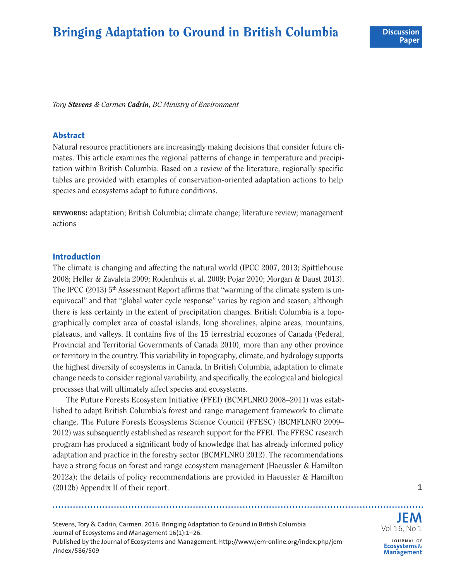# **Bringing Adaptation to Ground in British Columbia**

*Tory Stevens & Carmen Cadrin, BC Ministry of Environment*

#### **Abstract**

Natural resource practitioners are increasingly making decisions that consider future climates. This article examines the regional patterns of change in temperature and precipitation within British Columbia. Based on a review of the literature, regionally specific tables are provided with examples of conservation-oriented adaptation actions to help species and ecosystems adapt to future conditions.

**KEYWORDS:** adaptation; British Columbia; climate change; literature review; management actions

#### **Introduction**

The climate is changing and affecting the natural world (IPCC 2007, 2013; Spittlehouse 2008; Heller & Zavaleta 2009; Rodenhuis et al. 2009; Pojar 2010; Morgan & Daust 2013). The IPCC (2013) 5<sup>th</sup> Assessment Report affirms that "warming of the climate system is unequivocal" and that "global water cycle response" varies by region and season, although there is less certainty in the extent of precipitation changes. British Columbia is a topographically complex area of coastal islands, long shorelines, alpine areas, mountains, plateaus, and valleys. It contains five of the 15 terrestrial ecozones of Canada (Federal, Provincial and Territorial Governments of Canada 2010), more than any other province or territory in the country. This variability in topography, climate, and hydrology supports the highest diversity of ecosystems in Canada. In British Columbia, adaptation to climate change needs to consider regional variability, and specifically, the ecological and biological processes that will ultimately affect species and ecosystems.

The Future Forests Ecosystem Initiative (FFEI) (BCMFLNRO 2008–2011) was established to adapt British Columbia's forest and range management framework to climate change. The Future Forests Ecosystems Science Council (FFESC) (BCMFLNRO 2009– 2012) was subsequently established as research support for the FFEI. The FFESC research program has produced a significant body of knowledge that has already informed policy adaptation and practice in the forestry sector (BCMFLNRO 2012). The recommendations have a strong focus on forest and range ecosystem management (Haeussler & Hamilton 2012a); the details of policy recommendations are provided in Haeussler & Hamilton (2012b) Appendix II of their report. **1**

Stevens, Tory & Cadrin, Carmen. 2016. Bringing Adaptation to Ground in British Columbia Journal of Ecosystems and Management 16(1):1–26. Published by the Journal of Ecosystems and Management. <http://www.jem-online.org/index.php/jem> [/index/586/509](http://www.jem-online.org/index.php/jem)

**JEM** Vol 16, No 1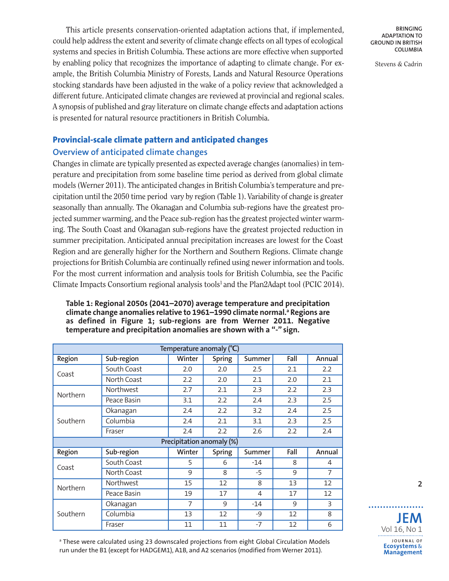This article presents conservation-oriented adaptation actions that, if implemented, could help addressthe extent and severity of climate change effects on all types of ecological systems and species in British Columbia. These actions are more effective when supported by enabling policy that recognizes the importance of adapting to climate change. For example, the British Columbia Ministry of Forests, Lands and Natural Resource Operations stocking standards have been adjusted in the wake of a policy review that acknowledged a different future. Anticipated climate changes are reviewed at provincial and regional scales. A synopsis of published and gray literature on climate change effects and adaptation actions is presented for natural resource practitioners in British Columbia.

### **Provincial-scale climate pattern and anticipated changes**

### **Overview of anticipated climate changes**

Changes in climate are typically presented as expected average changes (anomalies) in temperature and precipitation from some baseline time period as derived from global climate models (Werner 2011). The anticipated changes in British Columbia's temperature and precipitation until the 2050 time period vary by region (Table 1). Variability of change is greater seasonally than annually. The Okanagan and Columbia sub-regions have the greatest projected summer warming, and the Peace sub-region hasthe greatest projected winter warming. The South Coast and Okanagan sub-regions have the greatest projected reduction in summer precipitation. Anticipated annual precipitation increases are lowest for the Coast Region and are generally higher for the Northern and Southern Regions. Climate change projections for British Columbia are continually refined using newer information and tools. For the most current information and analysis tools for British Columbia, see the Pacific Climate Impacts Consortium regional analysis tools<sup>1</sup> and the Plan2Adapt tool (PCIC 2014).

#### **Table 1: Regional 2050s (2041–2070) average temperature and precipitation climate change anomalies relative to 1961–1990 climate normal. <sup>a</sup> Regions are as defined in Figure 1; sub-regions are from Werner 2011. Negative temperature and precipitation anomalies are shown with a "-" sign.**

| Temperature anomaly (°C) |             |                           |               |                |      |        |
|--------------------------|-------------|---------------------------|---------------|----------------|------|--------|
| Region                   | Sub-region  | Winter                    | <b>Spring</b> | Summer         | Fall | Annual |
| Coast                    | South Coast | 2.0                       | 2.0           | 2.5            | 2.1  | 2.2    |
|                          | North Coast | 2.2                       | 2.0           | 2.1            | 2.0  | 2.1    |
| Northern                 | Northwest   | 2.7                       | 2.1           | 2.3            | 2.2  | 2.3    |
|                          | Peace Basin | 3.1                       | 2.2           | 2.4            | 2.3  | 2.5    |
|                          | Okanagan    | 2.4                       | 2.2           | 3.2            | 2.4  | 2.5    |
| Southern                 | Columbia    | 2.4                       | 2.1           | 3.1            | 2.3  | 2.5    |
|                          | Fraser      | 2.4                       | 2.2           | 2.6            | 2.2  | 2.4    |
|                          |             | Precipitation anomaly (%) |               |                |      |        |
| Region                   | Sub-region  | Winter                    | <b>Spring</b> | Summer         | Fall | Annual |
| Coast                    | South Coast | 5                         | 6             | $-14$          | 8    | 4      |
|                          | North Coast | 9                         | 8             | $-5$           | 9    | 7      |
| Northern                 | Northwest   | 15                        | 12            | 8              | 13   | 12     |
|                          | Peace Basin | 19                        | 17            | $\overline{4}$ | 17   | 12     |
| Southern                 | Okanagan    | $\overline{7}$            | 9             | $-14$          | 9    | 3      |
|                          | Columbia    | 13                        | 12            | -9             | 12   | 8      |
|                          | Fraser      | 11                        | 11            | $-7$           | 12   | 6      |

**BRINGING ADAPTATION TO GROUND IN BRITISH COLUMBIA**

Stevens & Cadrin

a These were calculated using 23 downscaled projections from eight Global Circulation Models run under the B1 (except for HADGEM1), A1B, and A2 scenarios (modified from Werner 2011).

**JEM** Vol 16, No 1

. . . . . . . . . .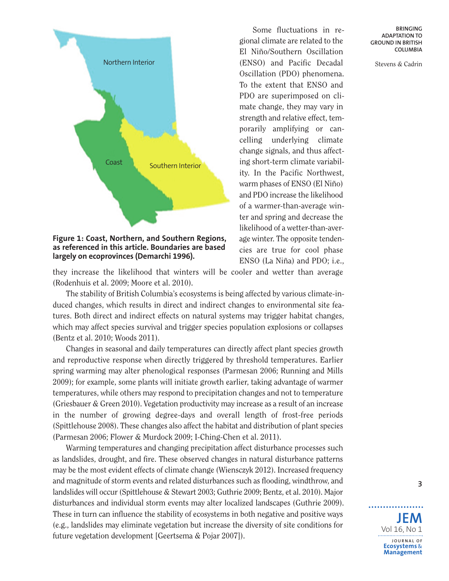

**Figure 1: Coast, Northern, and Southern Regions, as referenced in this article. Boundaries are based largely on ecoprovinces (Demarchi 1996).**

Some fluctuations in regional climate are related to the El Niño/Southern Oscillation (ENSO) and Pacific Decadal Oscillation (PDO) phenomena. To the extent that ENSO and PDO are superimposed on climate change, they may vary in strength and relative effect, temporarily amplifying or cancelling underlying climate change signals, and thus affecting short-term climate variability. In the Pacific Northwest, warm phases of ENSO (El Niño) and PDO increase the likelihood of a warmer-than-average winter and spring and decrease the likelihood of a wetter-than-average winter. The opposite tendencies are true for cool phase ENSO (La Niña) and PDO; i.e.,

**BRINGING ADAPTATION TO GROUND IN BRITISH COLUMBIA**

Stevens & Cadrin

they increase the likelihood that winters will be cooler and wetter than average (Rodenhuis et al. 2009; Moore et al. 2010).

The stability of British Columbia's ecosystems is being affected by various climate-induced changes, which results in direct and indirect changes to environmental site features. Both direct and indirect effects on natural systems may trigger habitat changes, which may affect species survival and trigger species population explosions or collapses (Bentz et al. 2010; Woods 2011).

Changes in seasonal and daily temperatures can directly affect plant species growth and reproductive response when directly triggered by threshold temperatures. Earlier spring warming may alter phenological responses (Parmesan 2006; Running and Mills 2009); for example, some plants will initiate growth earlier, taking advantage of warmer temperatures, while others may respond to precipitation changes and not to temperature (Griesbauer & Green 2010). Vegetation productivity may increase as a result of an increase in the number of growing degree-days and overall length of frost-free periods (Spittlehouse 2008). These changes also affect the habitat and distribution of plant species (Parmesan 2006; Flower & Murdock 2009; I-Ching-Chen et al. 2011).

Warming temperatures and changing precipitation affect disturbance processes such as landslides, drought, and fire. These observed changes in natural disturbance patterns may be the most evident effects of climate change (Wiensczyk 2012). Increased frequency and magnitude of storm events and related disturbances such as flooding, windthrow, and landslides will occur(Spittlehouse & Stewart 2003; Guthrie 2009; Bentz, et al. 2010). Major disturbances and individual storm events may alter localized landscapes (Guthrie 2009). These in turn can influence the stability of ecosystems in both negative and positive ways (e.g., landslides may eliminate vegetation but increase the diversity of site conditions for future vegetation development [Geertsema & Pojar 2007]).

**JEM** Vol 16, No 1 **J O U R N A L O F Ecosystems** & **Management**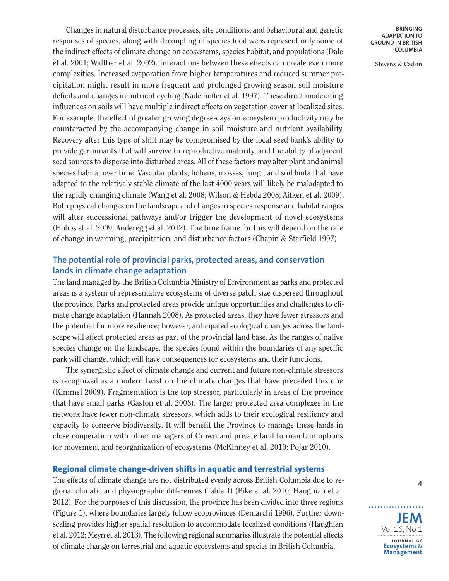Changes in natural disturbance processes, site conditions, and behavioural and genetic responses of species, along with decoupling of species food webs represent only some of the indirect effects of climate change on ecosystems, species habitat, and populations (Dale et al. 2001; Walther et al. 2002). Interactions between these effects can create even more complexities. Increased evaporation from higher temperatures and reduced summer precipitation might result in more frequent and prolonged growing season soil moisture deficits and changes in nutrient cycling (Nadelhoffer et al. 1997). These direct moderating influences on soils will have multiple indirect effects on vegetation cover at localized sites. For example, the effect of greater growing degree-days on ecosystem productivity may be counteracted by the accompanying change in soil moisture and nutrient availability. Recovery after this type of shift may be compromised by the local seed bank's ability to provide germinants that will survive to reproductive maturity, and the ability of adjacent seed sources to disperse into disturbed areas. All of these factors may alter plant and animal species habitat over time. Vascular plants, lichens, mosses, fungi, and soil biota that have adapted to the relatively stable climate of the last 4000 years will likely be maladapted to the rapidly changing climate (Wang et al. 2008; Wilson & Hebda 2008; Aitken et al. 2009). Both physical changes on the landscape and changes in species response and habitat ranges will alter successional pathways and/or trigger the development of novel ecosystems (Hobbs et al. 2009; Anderegg et al. 2012). The time frame for this will depend on the rate of change in warming, precipitation, and disturbance factors (Chapin & Starfield 1997).

### **The potential role of provincial parks, protected areas, and conservation lands in climate change adaptation**

The land managed by the British Columbia Ministry of Environment as parks and protected areas is a system of representative ecosystems of diverse patch size dispersed throughout the province. Parks and protected areas provide unique opportunities and challenges to climate change adaptation (Hannah 2008). As protected areas, they have fewer stressors and the potential for more resilience; however, anticipated ecological changes across the landscape will affect protected areas as part of the provincial land base. As the ranges of native species change on the landscape, the species found within the boundaries of any specific park will change, which will have consequences for ecosystems and their functions.

The synergistic effect of climate change and current and future non-climate stressors is recognized as a modern twist on the climate changes that have preceded this one (Kimmel 2009). Fragmentation is the top stressor, particularly in areas of the province that have small parks (Gaston et al. 2008). The larger protected area complexes in the network have fewer non-climate stressors, which adds to their ecological resiliency and capacity to conserve biodiversity. It will benefit the Province to manage these lands in close cooperation with other managers of Crown and private land to maintain options for movement and reorganization of ecosystems (McKinney et al. 2010; Pojar 2010).

#### **Regional climate change-driven shifts in aquatic and terrestrial systems**

The effects of climate change are not distributed evenly across British Columbia due to regional climatic and physiographic differences (Table 1) (Pike et al. 2010; Haughian et al. 2012). For the purposes of this discussion, the province has been divided into three regions (Figure 1), where boundaries largely follow ecoprovinces (Demarchi 1996). Further downscaling provides higher spatial resolution to accommodate localized conditions (Haughian et al. 2012; Meyn et al. 2013). The following regionalsummariesillustrate the potential effects of climate change on terrestrial and aquatic ecosystems and species in British Columbia.

**BRINGING ADAPTATION TO GROUND IN BRITISH COLUMBIA**

Stevens & Cadrin



**4**

**JEM** Vol 16, No 1 **J O U R N A L O F Ecosystems** & **Management**

. . . . . . . . . .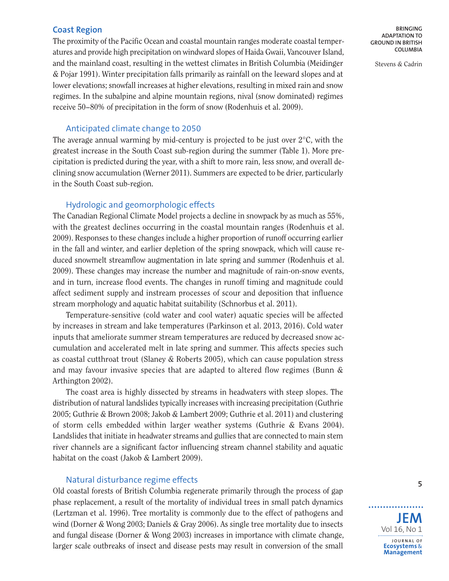#### **Coast Region**

The proximity of the Pacific Ocean and coastal mountain ranges moderate coastal temperatures and provide high precipitation on windward slopes of Haida Gwaii, Vancouver Island, and the mainland coast, resulting in the wettest climates in British Columbia (Meidinger & Pojar 1991). Winter precipitation falls primarily as rainfall on the leeward slopes and at lower elevations; snowfall increases at higher elevations, resulting in mixed rain and snow regimes. In the subalpine and alpine mountain regions, nival (snow dominated) regimes receive 50-80% of precipitation in the form of snow (Rodenhuis et al. 2009).

#### Anticipated climate change to 2050

The average annual warming by mid-century is projected to be just over  $2^{\circ}C$ , with the greatest increase in the South Coast sub-region during the summer (Table 1). More precipitation is predicted during the year, with a shift to more rain, less snow, and overall declining snow accumulation (Werner 2011). Summers are expected to be drier, particularly in the South Coast sub-region.

#### Hydrologic and geomorphologic effects

The Canadian Regional Climate Model projects a decline in snowpack by as much as 55%, with the greatest declines occurring in the coastal mountain ranges (Rodenhuis et al. 2009). Responses to these changes include a higher proportion of runoff occurring earlier in the fall and winter, and earlier depletion of the spring snowpack, which will cause reduced snowmelt streamflow augmentation in late spring and summer (Rodenhuis et al. 2009). These changes may increase the number and magnitude of rain-on-snow events, and in turn, increase flood events. The changes in runoff timing and magnitude could affect sediment supply and instream processes of scour and deposition that influence stream morphology and aquatic habitat suitability (Schnorbus et al. 2011).

Temperature-sensitive (cold water and cool water) aquatic species will be affected by increases in stream and lake temperatures (Parkinson et al. 2013, 2016). Cold water inputs that ameliorate summer stream temperatures are reduced by decreased snow accumulation and accelerated melt in late spring and summer. This affects species such as coastal cutthroat trout (Slaney & Roberts 2005), which can cause population stress and may favour invasive species that are adapted to altered flow regimes (Bunn & Arthington 2002).

The coast area is highly dissected by streams in headwaters with steep slopes. The distribution of natural landslides typically increases with increasing precipitation (Guthrie 2005; Guthrie & Brown 2008; Jakob & Lambert 2009; Guthrie et al. 2011) and clustering of storm cells embedded within larger weather systems (Guthrie & Evans 2004). Landslides that initiate in headwater streams and gullies that are connected to main stem river channels are a significant factor influencing stream channel stability and aquatic habitat on the coast (Jakob & Lambert 2009).

#### Natural disturbance regime effects

Old coastal forests of British Columbia regenerate primarily through the process of gap phase replacement, a result of the mortality of individual trees in small patch dynamics (Lertzman et al. 1996). Tree mortality is commonly due to the effect of pathogens and wind (Dorner & Wong 2003; Daniels & Gray 2006). As single tree mortality due to insects and fungal disease (Dorner & Wong 2003) increases in importance with climate change, larger scale outbreaks of insect and disease pests may result in conversion of the small

**BRINGING ADAPTATION TO GROUND IN BRITISH COLUMBIA**

Stevens & Cadrin



. . . . . . . . .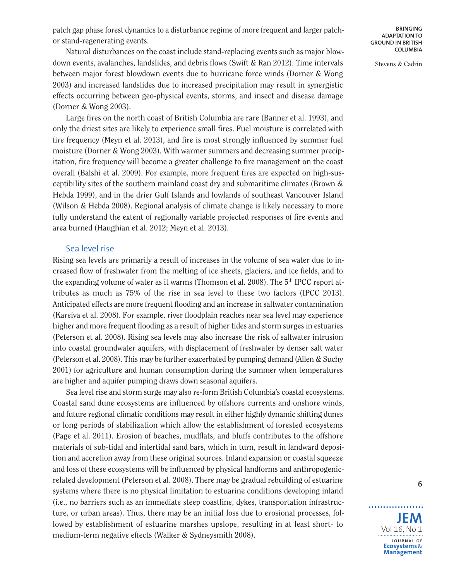patch gap phase forest dynamics to a disturbance regime of more frequent and larger patchor stand-regenerating events.

Stevens & Cadrin

Natural disturbances on the coast include stand-replacing events such as major blowdown events, avalanches, landslides, and debris flows (Swift & Ran 2012). Time intervals between major forest blowdown events due to hurricane force winds (Dorner & Wong 2003) and increased landslides due to increased precipitation may result in synergistic effects occurring between geo-physical events, storms, and insect and disease damage (Dorner & Wong 2003).

Large fires on the north coast of British Columbia are rare (Banner et al. 1993), and only the driest sites are likely to experience small fires. Fuel moisture is correlated with fire frequency (Meyn et al. 2013), and fire is most strongly influenced by summer fuel moisture (Dorner & Wong 2003). With warmer summers and decreasing summer precipitation, fire frequency will become a greater challenge to fire management on the coast overall (Balshi et al. 2009). For example, more frequent fires are expected on high-susceptibility sites of the southern mainland coast dry and submaritime climates (Brown  $\&$ Hebda 1999), and in the drier Gulf Islands and lowlands of southeast Vancouver Island (Wilson & Hebda 2008). Regional analysis of climate change is likely necessary to more fully understand the extent of regionally variable projected responses of fire events and area burned (Haughian et al. 2012; Meyn et al. 2013).

#### Sea level rise

Rising sea levels are primarily a result of increases in the volume of sea water due to increased flow of freshwater from the melting of ice sheets, glaciers, and ice fields, and to the expanding volume of water as it warms (Thomson et al. 2008). The 5<sup>th</sup> IPCC report attributes as much as 75% of the rise in sea level to these two factors (IPCC 2013). Anticipated effects are more frequent flooding and an increase in saltwater contamination (Kareiva et al. 2008). For example, river floodplain reaches near sea level may experience higher and more frequent flooding as a result of higher tides and storm surges in estuaries (Peterson et al. 2008). Rising sea levels may also increase the risk of saltwater intrusion into coastal groundwater aquifers, with displacement of freshwater by denser salt water (Peterson et al. 2008). This may be further exacerbated by pumping demand (Allen  $\&$  Suchy 2001) for agriculture and human consumption during the summer when temperatures are higher and aquifer pumping draws down seasonal aquifers.

Sea level rise and storm surge may also re-form British Columbia's coastal ecosystems. Coastal sand dune ecosystems are influenced by offshore currents and onshore winds, and future regional climatic conditions may result in either highly dynamic shifting dunes or long periods of stabilization which allow the establishment of forested ecosystems (Page et al. 2011). Erosion of beaches, mudflats, and bluffs contributes to the offshore materials of sub-tidal and intertidal sand bars, which in turn, result in landward deposition and accretion away from these original sources. Inland expansion or coastal squeeze and loss of these ecosystems will be influenced by physical landforms and anthropogenicrelated development (Peterson et al. 2008). There may be gradual rebuilding of estuarine systems where there is no physical limitation to estuarine conditions developing inland (i.e., no barriers such as an immediate steep coastline, dykes, transportation infrastructure, or urban areas). Thus, there may be an initial loss due to erosional processes, followed by establishment of estuarine marshes upslope, resulting in at least short- to medium-term negative effects (Walker & Sydneysmith 2008).

**JEM** Vol 16, No 1 **J O U R N A L O F Ecosystems** & **Management**

. . . . . . . . .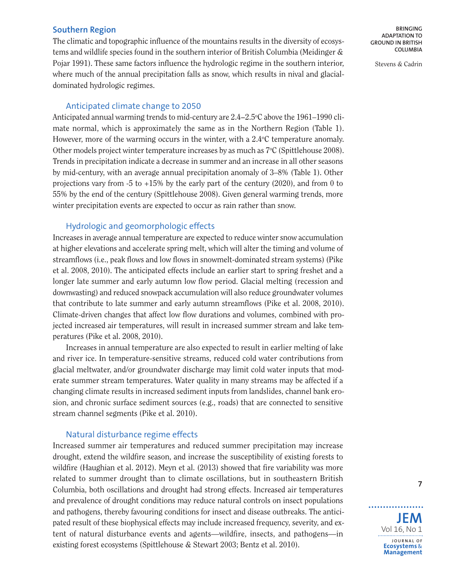#### **Southern Region**

The climatic and topographic influence of the mountains results in the diversity of ecosystems and wildlife species found in the southern interior of British Columbia (Meidinger & Pojar 1991). These same factors influence the hydrologic regime in the southern interior, where much of the annual precipitation falls as snow, which results in nival and glacialdominated hydrologic regimes.

#### Anticipated climate change to 2050

Anticipated annual warming trends to mid-century are  $2.4\text{--}2.5^{\circ}\text{C}$  above the  $1961\text{--}1990$  climate normal, which is approximately the same as in the Northern Region (Table 1). However, more of the warming occurs in the winter, with a 2.4 °C temperature anomaly. Other models project winter temperature increases by as much as  $7^{\circ}$ C (Spittlehouse 2008). Trends in precipitation indicate a decrease in summer and an increase in all other seasons by mid-century, with an average annual precipitation anomaly of 3–8% (Table 1). Other projections vary from -5 to  $+15\%$  by the early part of the century (2020), and from 0 to 55% by the end of the century (Spittlehouse 2008). Given general warming trends, more winter precipitation events are expected to occur as rain rather than snow.

### Hydrologic and geomorphologic effects

Increases in average annual temperature are expected to reduce winter snow accumulation at higher elevations and accelerate spring melt, which will alter the timing and volume of streamflows (i.e., peak flows and low flows in snowmelt-dominated stream systems) (Pike et al. 2008, 2010). The anticipated effects include an earlier start to spring freshet and a longer late summer and early autumn low flow period. Glacial melting (recession and downwasting) and reduced snowpack accumulation will also reduce groundwater volumes that contribute to late summer and early autumn streamflows (Pike et al. 2008, 2010). Climate-driven changes that affect low flow durations and volumes, combined with projected increased air temperatures, will result in increased summer stream and lake temperatures (Pike et al. 2008, 2010).

Increases in annual temperature are also expected to result in earlier melting of lake and river ice. In temperature-sensitive streams, reduced cold water contributions from glacial meltwater, and/or groundwater discharge may limit cold water inputs that moderate summer stream temperatures. Water quality in many streams may be affected if a changing climate results in increased sediment inputs from landslides, channel bank erosion, and chronic surface sediment sources (e.g., roads) that are connected to sensitive stream channel segments (Pike et al. 2010).

#### Natural disturbance regime effects

Increased summer air temperatures and reduced summer precipitation may increase drought, extend the wildfire season, and increase the susceptibility of existing forests to wildfire (Haughian et al. 2012). Meyn et al. (2013) showed that fire variability was more related to summer drought than to climate oscillations, but in southeastern British Columbia, both oscillations and drought had strong effects. Increased air temperatures and prevalence of drought conditions may reduce natural controls on insect populations and pathogens, thereby favouring conditions for insect and disease outbreaks. The anticipated result of these biophysical effects may include increased frequency, severity, and extent of natural disturbance events and agents—wildfire, insects, and pathogens—in existing forest ecosystems (Spittlehouse & Stewart 2003; Bentz et al. 2010).

**BRINGING ADAPTATION TO GROUND IN BRITISH COLUMBIA**

Stevens & Cadrin



. . . . . . . . . . .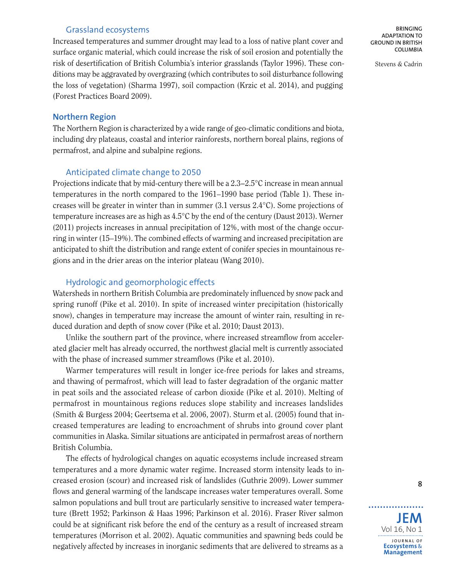#### Grassland ecosystems

Increased temperatures and summer drought may lead to a loss of native plant cover and surface organic material, which could increase the risk of soil erosion and potentially the risk of desertification of British Columbia's interior grasslands (Taylor 1996). These conditions may be aggravated by overgrazing (which contributes to soil disturbance following the loss of vegetation) (Sharma 1997), soil compaction (Krzic et al. 2014), and pugging (Forest Practices Board 2009).

#### **Northern Region**

The Northern Region is characterized by a wide range of geo-climatic conditions and biota, including dry plateaus, coastal and interior rainforests, northern boreal plains, regions of permafrost, and alpine and subalpine regions.

#### Anticipated climate change to 2050

Projections indicate that by mid-century there will be a 2.3-2.5°C increase in mean annual temperatures in the north compared to the 1961–1990 base period (Table 1). These increases will be greater in winter than in summer (3.1 versus 2.4°C). Some projections of temperature increases are as high as 4.5°C by the end of the century (Daust 2013). Werner (2011) projects increases in annual precipitation of 12%, with most of the change occurring in winter (15–19%). The combined effects of warming and increased precipitation are anticipated to shift the distribution and range extent of conifer species in mountainous regions and in the drier areas on the interior plateau (Wang 2010).

#### Hydrologic and geomorphologic effects

Watersheds in northern British Columbia are predominately influenced by snow pack and spring runoff (Pike et al. 2010). In spite of increased winter precipitation (historically snow), changes in temperature may increase the amount of winter rain, resulting in reduced duration and depth of snow cover (Pike et al. 2010; Daust 2013).

Unlike the southern part of the province, where increased streamflow from accelerated glacier melt has already occurred, the northwest glacial melt is currently associated with the phase of increased summer streamflows (Pike et al. 2010).

Warmer temperatures will result in longer ice-free periods for lakes and streams, and thawing of permafrost, which will lead to faster degradation of the organic matter in peat soils and the associated release of carbon dioxide (Pike et al. 2010). Melting of permafrost in mountainous regions reduces slope stability and increases landslides (Smith & Burgess 2004; Geertsema et al. 2006, 2007). Sturm et al. (2005) found that increased temperatures are leading to encroachment of shrubs into ground cover plant communities in Alaska. Similar situations are anticipated in permafrost areas of northern British Columbia.

The effects of hydrological changes on aquatic ecosystems include increased stream temperatures and a more dynamic water regime. Increased storm intensity leads to increased erosion (scour) and increased risk of landslides (Guthrie 2009). Lower summer flows and general warming of the landscape increases water temperatures overall. Some salmon populations and bull trout are particularly sensitive to increased water temperature (Brett 1952; Parkinson & Haas 1996; Parkinson et al. 2016). Fraser River salmon could be at significant risk before the end of the century as a result of increased stream temperatures (Morrison et al. 2002). Aquatic communities and spawning beds could be negatively affected by increases in inorganic sediments that are delivered to streams as a

**BRINGING ADAPTATION TO GROUND IN BRITISH COLUMBIA**

Stevens & Cadrin



. . . . . . . . . .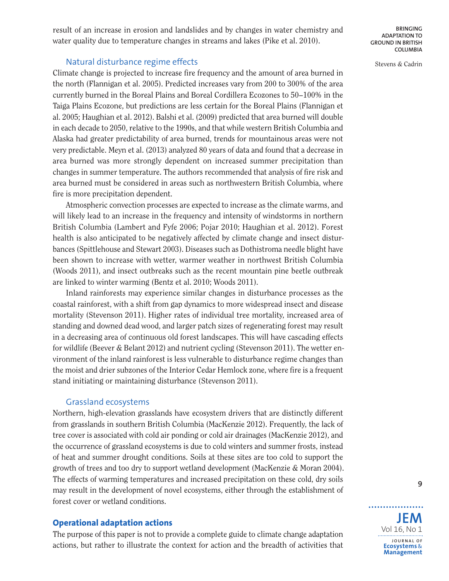result of an increase in erosion and landslides and by changes in water chemistry and water quality due to temperature changes in streams and lakes (Pike et al. 2010).

**BRINGING ADAPTATION TO GROUND IN BRITISH COLUMBIA**

Stevens & Cadrin

#### Natural disturbance regime effects

Climate change is projected to increase fire frequency and the amount of area burned in the north (Flannigan et al. 2005). Predicted increases vary from 200 to 300% of the area currently burned in the Boreal Plains and Boreal Cordillera Ecozones to 50-100% in the Taiga Plains Ecozone, but predictions are less certain for the Boreal Plains (Flannigan et al. 2005; Haughian et al. 2012). Balshi et al. (2009) predicted that area burned will double in each decade to 2050, relative to the 1990s, and that while western British Columbia and Alaska had greater predictability of area burned, trends for mountainous areas were not very predictable. Meyn et al. (2013) analyzed 80 years of data and found that a decrease in area burned was more strongly dependent on increased summer precipitation than changes in summer temperature. The authors recommended that analysis of fire risk and area burned must be considered in areas such as northwestern British Columbia, where fire is more precipitation dependent.

Atmospheric convection processes are expected to increase as the climate warms, and will likely lead to an increase in the frequency and intensity of windstorms in northern British Columbia (Lambert and Fyfe 2006; Pojar 2010; Haughian et al. 2012). Forest health is also anticipated to be negatively affected by climate change and insect disturbances (Spittlehouse and Stewart 2003). Diseases such as Dothistroma needle blight have been shown to increase with wetter, warmer weather in northwest British Columbia (Woods 2011), and insect outbreaks such as the recent mountain pine beetle outbreak are linked to winter warming (Bentz et al. 2010; Woods 2011).

Inland rainforests may experience similar changes in disturbance processes as the coastal rainforest, with a shift from gap dynamics to more widespread insect and disease mortality (Stevenson 2011). Higher rates of individual tree mortality, increased area of standing and downed dead wood, and larger patch sizes of regenerating forest may result in a decreasing area of continuous old forest landscapes. This will have cascading effects for wildlife (Beever & Belant 2012) and nutrient cycling (Stevenson 2011). The wetter environment of the inland rainforest is less vulnerable to disturbance regime changes than the moist and drier subzones of the Interior Cedar Hemlock zone, where fire is a frequent stand initiating or maintaining disturbance (Stevenson 2011).

#### Grassland ecosystems

Northern, high-elevation grasslands have ecosystem drivers that are distinctly different from grasslands in southern British Columbia (MacKenzie 2012). Frequently, the lack of tree cover is associated with cold air ponding or cold air drainages (MacKenzie 2012), and the occurrence of grassland ecosystems is due to cold winters and summer frosts, instead of heat and summer drought conditions. Soils at these sites are too cold to support the growth of trees and too dry to support wetland development (MacKenzie & Moran 2004). The effects of warming temperatures and increased precipitation on these cold, dry soils may result in the development of novel ecosystems, either through the establishment of forest cover or wetland conditions.

#### **Operational adaptation actions**

The purpose of this paper is not to provide a complete guide to climate change adaptation actions, but rather to illustrate the context for action and the breadth of activities that

**JEM** Vol 16, No 1 **J O U R N A L O F Ecosystems** & **Management**

. . . . . . . . .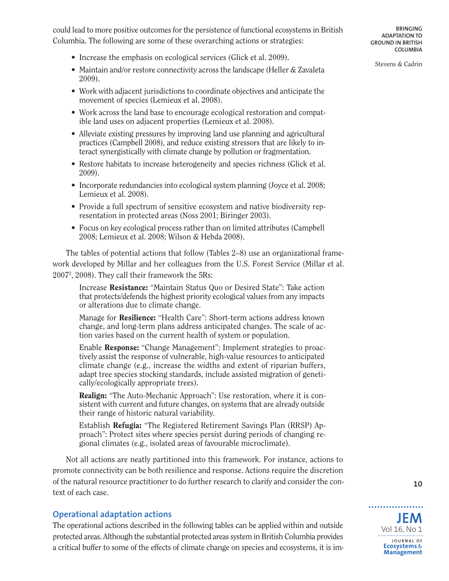- Maintain and/or restore connectivity across the landscape (Heller & Zavaleta 2009).
- Work with adjacent jurisdictions to coordinate objectives and anticipate the movement of species (Lemieux et al. 2008).
- Work across the land base to encourage ecological restoration and compatible land uses on adjacent properties (Lemieux et al. 2008).
- Alleviate existing pressures by improving land use planning and agricultural practices (Campbell 2008), and reduce existing stressors that are likely to interact synergistically with climate change by pollution or fragmentation.
- Restore habitats to increase heterogeneity and species richness (Glick et al.) 2009).
- Incorporate redundancies into ecological system planning (Joyce et al. 2008; Lemieux et al. 2008).
- Provide a full spectrum of sensitive ecosystem and native biodiversity representation in protected areas (Noss 2001; Biringer 2003).
- Focus on key ecological process rather than on limited attributes (Campbell 2008; Lemieux et al. 2008; Wilson & Hebda 2008).

The tables of potential actions that follow (Tables 2–8) use an organizational framework developed by Millar and her colleagues from the U.S. Forest Service (Millar et al. 20072 , 2008). They call their framework the 5Rs:

Increase **Resistance:** "Maintain Status Quo or Desired State": Take action that protects/defends the highest priority ecological values from any impacts or alterations due to climate change.

Manage for **Resilience:** "Health Care": Short-term actions address known change, and long-term plans address anticipated changes. The scale of action varies based on the current health of system or population.

Enable **Response:** "Change Management": Implement strategies to proactively assist the response of vulnerable, high-value resources to anticipated climate change (e.g., increase the widths and extent of riparian buffers, adapt tree species stocking standards, include assisted migration of genetically/ecologically appropriate trees).

**Realign:** "The Auto-Mechanic Approach": Use restoration, where it is consistent with current and future changes, on systems that are already outside their range of historic natural variability.

Establish **Refugia:** "The Registered Retirement Savings Plan (RRSP) Approach": Protect sites where species persist during periods of changing regional climates (e.g., isolated areas of favourable microclimate).

Not all actions are neatly partitioned into this framework. For instance, actions to promote connectivity can be both resilience and response. Actions require the discretion of the natural resource practitioner to do further research to clarify and consider the context of each case.

### **Operational adaptation actions**

The operational actions described in the following tables can be applied within and outside protected areas. Although the substantial protected areassystem in British Columbia provides a critical buffer to some of the effects of climate change on species and ecosystems, it is imStevens & Cadrin

**10**



. . . . . . . . . .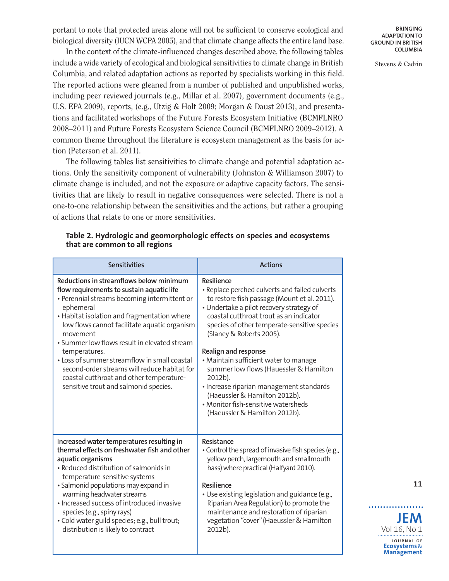portant to note that protected areas alone will not be sufficient to conserve ecological and biological diversity (IUCN WCPA 2005), and that climate change affects the entire land base.

In the context of the climate-influenced changes described above, the following tables include a wide variety of ecological and biological sensitivities to climate change in British Columbia, and related adaptation actions as reported by specialists working in this field. The reported actions were gleaned from a number of published and unpublished works, including peer reviewed journals (e.g., Millar et al. 2007), government documents (e.g., U.S. EPA 2009), reports, (e.g., Utzig & Holt 2009; Morgan & Daust 2013), and presentations and facilitated workshops of the Future Forests Ecosystem Initiative (BCMFLNRO 2008–2011) and Future Forests Ecosystem Science Council (BCMFLNRO 2009–2012). A common theme throughout the literature is ecosystem management as the basis for action (Peterson et al. 2011).

The following tables list sensitivities to climate change and potential adaptation actions. Only the sensitivity component of vulnerability (Johnston & Williamson 2007) to climate change is included, and not the exposure or adaptive capacity factors. The sensitivities that are likely to result in negative consequences were selected. There is not a one-to-one relationship between the sensitivities and the actions, but rather a grouping of actions that relate to one or more sensitivities.

| <b>Sensitivities</b>                                                                                                                                                                                                                                                                                                                                                                                                                                                                                               | <b>Actions</b>                                                                                                                                                                                                                                                                                                                                                                                                                                                                                                                                             |
|--------------------------------------------------------------------------------------------------------------------------------------------------------------------------------------------------------------------------------------------------------------------------------------------------------------------------------------------------------------------------------------------------------------------------------------------------------------------------------------------------------------------|------------------------------------------------------------------------------------------------------------------------------------------------------------------------------------------------------------------------------------------------------------------------------------------------------------------------------------------------------------------------------------------------------------------------------------------------------------------------------------------------------------------------------------------------------------|
| Reductions in streamflows below minimum<br>flow requirements to sustain aquatic life<br>• Perennial streams becoming intermittent or<br>ephemeral<br>• Habitat isolation and fragmentation where<br>low flows cannot facilitate aquatic organism<br>movement<br>• Summer low flows result in elevated stream<br>temperatures.<br>• Loss of summer streamflow in small coastal<br>second-order streams will reduce habitat for<br>coastal cutthroat and other temperature-<br>sensitive trout and salmonid species. | Resilience<br>· Replace perched culverts and failed culverts<br>to restore fish passage (Mount et al. 2011).<br>• Undertake a pilot recovery strategy of<br>coastal cutthroat trout as an indicator<br>species of other temperate-sensitive species<br>(Slaney & Roberts 2005).<br>Realign and response<br>• Maintain sufficient water to manage<br>summer low flows (Hauessler & Hamilton<br>2012b).<br>· Increase riparian management standards<br>(Haeussler & Hamilton 2012b).<br>• Monitor fish-sensitive watersheds<br>(Haeussler & Hamilton 2012b). |
| Increased water temperatures resulting in<br>thermal effects on freshwater fish and other<br>aquatic organisms<br>• Reduced distribution of salmonids in<br>temperature-sensitive systems<br>• Salmonid populations may expand in<br>warming headwater streams<br>• Increased success of introduced invasive<br>species (e.g., spiny rays)<br>· Cold water guild species; e.g., bull trout;<br>distribution is likely to contract                                                                                  | Resistance<br>. Control the spread of invasive fish species (e.g.,<br>yellow perch, largemouth and smallmouth<br>bass) where practical (Halfyard 2010).<br>Resilience<br>• Use existing legislation and guidance (e.g.,<br>Riparian Area Regulation) to promote the<br>maintenance and restoration of riparian<br>vegetation "cover" (Haeussler & Hamilton<br>2012b).                                                                                                                                                                                      |

#### **Table 2. Hydrologic and geomorphologic effects on species and ecosystems that are common to all regions**

**BRINGING ADAPTATION TO GROUND IN BRITISH COLUMBIA**

Stevens & Cadrin

**JEM** Vol 16, No 1

. . . . . . . . . .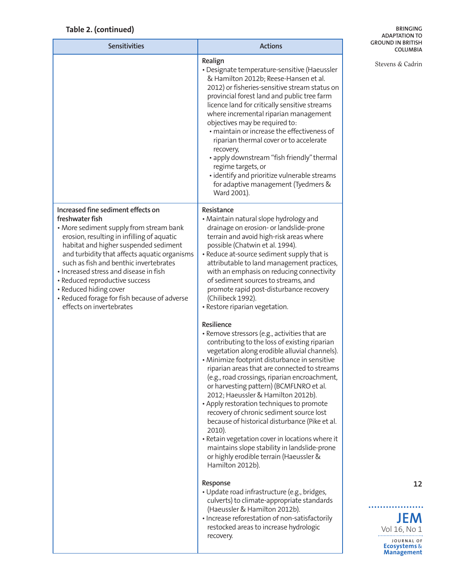## **Table 2. (continued)**

**BRINGING ADAPTATION TO GROUND IN BRITISH COLUMBIA**

| <b>Sensitivities</b>                                                                                                                                                                                                                                                                                                                                                                                                                                                | <b>Actions</b>                                                                                                                                                                                                                                                                                                                                                                                                                                                                                                                                                                                                                                                                                                          | <b>GROUND IN BRITISH</b><br><b>COLUMBIA</b>                                                    |
|---------------------------------------------------------------------------------------------------------------------------------------------------------------------------------------------------------------------------------------------------------------------------------------------------------------------------------------------------------------------------------------------------------------------------------------------------------------------|-------------------------------------------------------------------------------------------------------------------------------------------------------------------------------------------------------------------------------------------------------------------------------------------------------------------------------------------------------------------------------------------------------------------------------------------------------------------------------------------------------------------------------------------------------------------------------------------------------------------------------------------------------------------------------------------------------------------------|------------------------------------------------------------------------------------------------|
|                                                                                                                                                                                                                                                                                                                                                                                                                                                                     | Realign<br>• Designate temperature-sensitive (Haeussler<br>& Hamilton 2012b; Reese-Hansen et al.<br>2012) or fisheries-sensitive stream status on<br>provincial forest land and public tree farm<br>licence land for critically sensitive streams<br>where incremental riparian management<br>objectives may be required to:<br>· maintain or increase the effectiveness of<br>riparian thermal cover or to accelerate<br>recovery,<br>· apply downstream "fish friendly" thermal<br>regime targets, or<br>· identify and prioritize vulnerable streams<br>for adaptive management (Tyedmers &<br>Ward 2001).                                                                                                           | Stevens & Cadrin                                                                               |
| Increased fine sediment effects on<br>freshwater fish<br>• More sediment supply from stream bank<br>erosion, resulting in infilling of aquatic<br>habitat and higher suspended sediment<br>and turbidity that affects aquatic organisms<br>such as fish and benthic invertebrates<br>· Increased stress and disease in fish<br>• Reduced reproductive success<br>• Reduced hiding cover<br>• Reduced forage for fish because of adverse<br>effects on invertebrates | Resistance<br>• Maintain natural slope hydrology and<br>drainage on erosion- or landslide-prone<br>terrain and avoid high-risk areas where<br>possible (Chatwin et al. 1994).<br>• Reduce at-source sediment supply that is<br>attributable to land management practices,<br>with an emphasis on reducing connectivity<br>of sediment sources to streams, and<br>promote rapid post-disturbance recovery<br>(Chilibeck 1992).<br>· Restore riparian vegetation.                                                                                                                                                                                                                                                         |                                                                                                |
|                                                                                                                                                                                                                                                                                                                                                                                                                                                                     | Resilience<br>• Remove stressors (e.g., activities that are<br>contributing to the loss of existing riparian<br>vegetation along erodible alluvial channels).<br>· Minimize footprint disturbance in sensitive<br>riparian areas that are connected to streams<br>(e.g., road crossings, riparian encroachment,<br>or harvesting pattern) (BCMFLNRO et al.<br>2012; Haeussler & Hamilton 2012b).<br>• Apply restoration techniques to promote<br>recovery of chronic sediment source lost<br>because of historical disturbance (Pike et al.<br>2010).<br>• Retain vegetation cover in locations where it<br>maintains slope stability in landslide-prone<br>or highly erodible terrain (Haeussler &<br>Hamilton 2012b). |                                                                                                |
|                                                                                                                                                                                                                                                                                                                                                                                                                                                                     | Response<br>· Update road infrastructure (e.g., bridges,<br>culverts) to climate-appropriate standards<br>(Haeussler & Hamilton 2012b).<br>· Increase reforestation of non-satisfactorily<br>restocked areas to increase hydrologic<br>recovery.                                                                                                                                                                                                                                                                                                                                                                                                                                                                        | 12<br><b>JEM</b><br>Vol 16, No 1<br>JOURNAL OF<br><b>Ecosystems &amp;</b><br><b>Management</b> |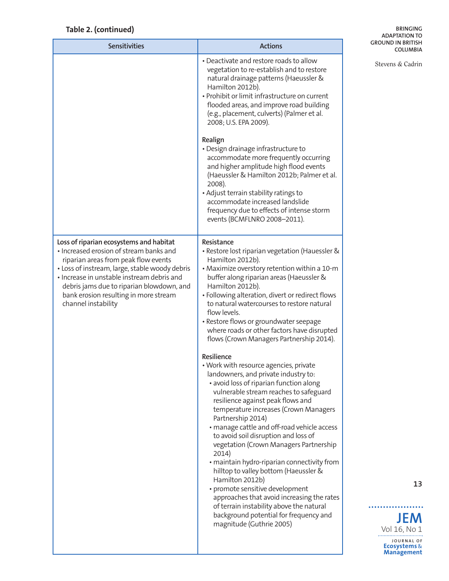### **Table 2. (continued)**

**BRINGING ADAPTATION TO GROUND IN BRITISH COLUMBIA**

| <b>Sensitivities</b>                                                                                                                                                                                                                                                                                                                    | <b>Actions</b>                                                                                                                                                                                                                                                                                                                                                                                                                                                                                                                            | <b>GROUND IN BRITISH</b><br><b>COLUMBIA</b>                |
|-----------------------------------------------------------------------------------------------------------------------------------------------------------------------------------------------------------------------------------------------------------------------------------------------------------------------------------------|-------------------------------------------------------------------------------------------------------------------------------------------------------------------------------------------------------------------------------------------------------------------------------------------------------------------------------------------------------------------------------------------------------------------------------------------------------------------------------------------------------------------------------------------|------------------------------------------------------------|
|                                                                                                                                                                                                                                                                                                                                         | • Deactivate and restore roads to allow<br>vegetation to re-establish and to restore<br>natural drainage patterns (Haeussler &<br>Hamilton 2012b).<br>· Prohibit or limit infrastructure on current<br>flooded areas, and improve road building<br>(e.g., placement, culverts) (Palmer et al.<br>2008; U.S. EPA 2009).                                                                                                                                                                                                                    | Stevens & Cadrin                                           |
|                                                                                                                                                                                                                                                                                                                                         | Realign<br>• Design drainage infrastructure to<br>accommodate more frequently occurring<br>and higher amplitude high flood events<br>(Haeussler & Hamilton 2012b; Palmer et al.<br>2008).<br>· Adjust terrain stability ratings to<br>accommodate increased landslide<br>frequency due to effects of intense storm<br>events (BCMFLNRO 2008-2011).                                                                                                                                                                                        |                                                            |
| Loss of riparian ecosystems and habitat<br>· Increased erosion of stream banks and<br>riparian areas from peak flow events<br>• Loss of instream, large, stable woody debris<br>· Increase in unstable instream debris and<br>debris jams due to riparian blowdown, and<br>bank erosion resulting in more stream<br>channel instability | Resistance<br>· Restore lost riparian vegetation (Hauessler &<br>Hamilton 2012b).<br>• Maximize overstory retention within a 10-m<br>buffer along riparian areas (Haeussler &<br>Hamilton 2012b).<br>· Following alteration, divert or redirect flows<br>to natural watercourses to restore natural<br>flow levels.<br>• Restore flows or groundwater seepage<br>where roads or other factors have disrupted<br>flows (Crown Managers Partnership 2014).                                                                                  |                                                            |
|                                                                                                                                                                                                                                                                                                                                         | Resilience<br>• Work with resource agencies, private<br>landowners, and private industry to:<br>• avoid loss of riparian function along<br>vulnerable stream reaches to safeguard<br>resilience against peak flows and<br>temperature increases (Crown Managers<br>Partnership 2014)<br>· manage cattle and off-road vehicle access<br>to avoid soil disruption and loss of<br>vegetation (Crown Managers Partnership<br>2014)<br>· maintain hydro-riparian connectivity from<br>hilltop to valley bottom (Haeussler &<br>Hamilton 2012b) |                                                            |
|                                                                                                                                                                                                                                                                                                                                         | · promote sensitive development<br>approaches that avoid increasing the rates<br>of terrain instability above the natural                                                                                                                                                                                                                                                                                                                                                                                                                 | 13                                                         |
|                                                                                                                                                                                                                                                                                                                                         | background potential for frequency and<br>magnitude (Guthrie 2005)                                                                                                                                                                                                                                                                                                                                                                                                                                                                        | <b>JEM</b><br>Vol 16, No 1                                 |
|                                                                                                                                                                                                                                                                                                                                         |                                                                                                                                                                                                                                                                                                                                                                                                                                                                                                                                           | JOURNAL OF<br><b>Ecosystems &amp;</b><br><b>Management</b> |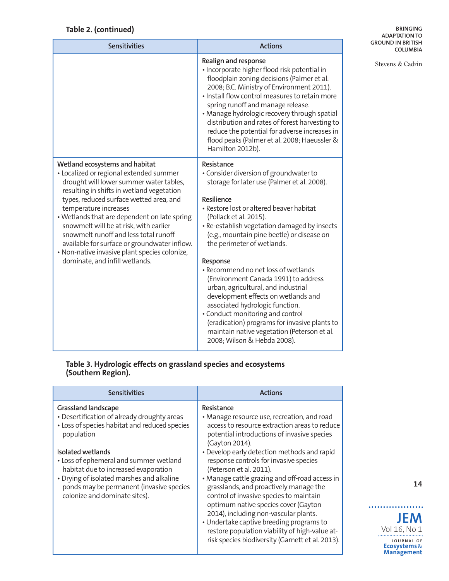### **Table 2. (continued)**

**BRINGING ADAPTATION TO GROUND IN BRITISH COLUMBIA**

Stevens & Cadrin

| <b>Sensitivities</b>                                                                                                                                                                                                                                                                                                                                                                                                                                                                                        | <b>Actions</b>                                                                                                                                                                                                                                                                                                                                                                                                                                                                                                                                                                                                                                                                                     |
|-------------------------------------------------------------------------------------------------------------------------------------------------------------------------------------------------------------------------------------------------------------------------------------------------------------------------------------------------------------------------------------------------------------------------------------------------------------------------------------------------------------|----------------------------------------------------------------------------------------------------------------------------------------------------------------------------------------------------------------------------------------------------------------------------------------------------------------------------------------------------------------------------------------------------------------------------------------------------------------------------------------------------------------------------------------------------------------------------------------------------------------------------------------------------------------------------------------------------|
|                                                                                                                                                                                                                                                                                                                                                                                                                                                                                                             | Realign and response<br>· Incorporate higher flood risk potential in<br>floodplain zoning decisions (Palmer et al.<br>2008; B.C. Ministry of Environment 2011).<br>. Install flow control measures to retain more<br>spring runoff and manage release.<br>• Manage hydrologic recovery through spatial<br>distribution and rates of forest harvesting to<br>reduce the potential for adverse increases in<br>flood peaks (Palmer et al. 2008; Haeussler &<br>Hamilton 2012b).                                                                                                                                                                                                                      |
| Wetland ecosystems and habitat<br>• Localized or regional extended summer<br>drought will lower summer water tables,<br>resulting in shifts in wetland vegetation<br>types, reduced surface wetted area, and<br>temperature increases<br>• Wetlands that are dependent on late spring<br>snowmelt will be at risk, with earlier<br>snowmelt runoff and less total runoff<br>available for surface or groundwater inflow.<br>· Non-native invasive plant species colonize,<br>dominate, and infill wetlands. | Resistance<br>• Consider diversion of groundwater to<br>storage for later use (Palmer et al. 2008).<br>Resilience<br>· Restore lost or altered beaver habitat<br>(Pollack et al. 2015).<br>· Re-establish vegetation damaged by insects<br>(e.g., mountain pine beetle) or disease on<br>the perimeter of wetlands.<br>Response<br>• Recommend no net loss of wetlands<br>(Environment Canada 1991) to address<br>urban, agricultural, and industrial<br>development effects on wetlands and<br>associated hydrologic function.<br>• Conduct monitoring and control<br>(eradication) programs for invasive plants to<br>maintain native vegetation (Peterson et al.<br>2008; Wilson & Hebda 2008). |

#### **Table 3. Hydrologic effects on grassland species and ecosystems (Southern Region).**

| <b>Sensitivities</b>                                                                                                                                                                                                                                                                                                                                                      | <b>Actions</b>                                                                                                                                                                                                                                                                                                                                                                                                                                                                                                                                                                                                                                                            |
|---------------------------------------------------------------------------------------------------------------------------------------------------------------------------------------------------------------------------------------------------------------------------------------------------------------------------------------------------------------------------|---------------------------------------------------------------------------------------------------------------------------------------------------------------------------------------------------------------------------------------------------------------------------------------------------------------------------------------------------------------------------------------------------------------------------------------------------------------------------------------------------------------------------------------------------------------------------------------------------------------------------------------------------------------------------|
| <b>Grassland landscape</b><br>• Desertification of already droughty areas<br>• Loss of species habitat and reduced species<br>population<br>Isolated wetlands<br>• Loss of ephemeral and summer wetland<br>habitat due to increased evaporation<br>• Drying of isolated marshes and alkaline<br>ponds may be permanent (invasive species<br>colonize and dominate sites). | Resistance<br>• Manage resource use, recreation, and road<br>access to resource extraction areas to reduce<br>potential introductions of invasive species<br>(Gayton 2014).<br>• Develop early detection methods and rapid<br>response controls for invasive species<br>(Peterson et al. 2011).<br>• Manage cattle grazing and off-road access in<br>grasslands, and proactively manage the<br>control of invasive species to maintain<br>optimum native species cover (Gayton<br>2014), including non-vascular plants.<br>• Undertake captive breeding programs to<br>restore population viability of high-value at-<br>risk species biodiversity (Garnett et al. 2013). |

**JEM**

Vol 16, No 1

. . . . . . . . . . . . . . . . . . .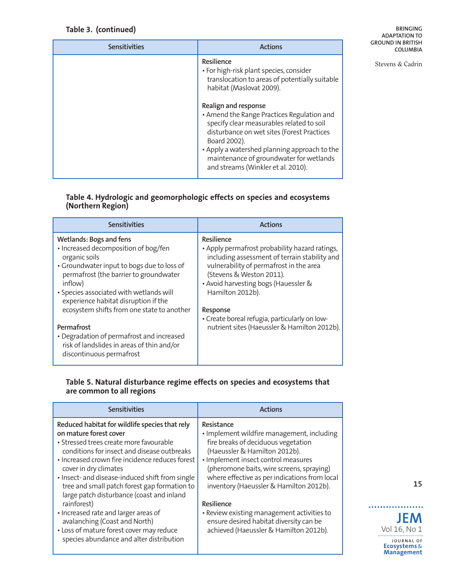### **Table 3. (continued)**

**BRINGING ADAPTATION TO GROUND IN BRITISH COLUMBIA**

Stevens & Cadrin

| <b>Sensitivities</b> | <b>Actions</b>                                                                                                                                                                                                                                                                                                 |
|----------------------|----------------------------------------------------------------------------------------------------------------------------------------------------------------------------------------------------------------------------------------------------------------------------------------------------------------|
|                      | Resilience<br>• For high-risk plant species, consider<br>translocation to areas of potentially suitable<br>habitat (Maslovat 2009).                                                                                                                                                                            |
|                      | Realign and response<br>• Amend the Range Practices Regulation and<br>specify clear measurables related to soil<br>disturbance on wet sites (Forest Practices<br>Board 2002).<br>• Apply a watershed planning approach to the<br>maintenance of groundwater for wetlands<br>and streams (Winkler et al. 2010). |

### **Table 4. Hydrologic and geomorphologic effects on species and ecosystems (Northern Region)**

| <b>Sensitivities</b>                                                                                                                                                                                                                                                   | <b>Actions</b>                                                                                                                                                                                                                                   |
|------------------------------------------------------------------------------------------------------------------------------------------------------------------------------------------------------------------------------------------------------------------------|--------------------------------------------------------------------------------------------------------------------------------------------------------------------------------------------------------------------------------------------------|
| Wetlands: Bogs and fens<br>· Increased decomposition of bog/fen<br>organic soils<br>• Groundwater input to bogs due to loss of<br>permafrost (the barrier to groundwater<br>inflow)<br>• Species associated with wetlands will<br>experience habitat disruption if the | Resilience<br>• Apply permafrost probability hazard ratings,<br>including assessment of terrain stability and<br>vulnerability of permafrost in the area<br>(Stevens & Weston 2011).<br>• Avoid harvesting bogs (Hauessler &<br>Hamilton 2012b). |
| ecosystem shifts from one state to another<br>Permafrost                                                                                                                                                                                                               | Response<br>• Create boreal refugia, particularly on low-<br>nutrient sites (Haeussler & Hamilton 2012b).                                                                                                                                        |
| • Degradation of permafrost and increased<br>risk of landslides in areas of thin and/or<br>discontinuous permafrost                                                                                                                                                    |                                                                                                                                                                                                                                                  |

#### **Table 5. Natural disturbance regime effects on species and ecosystems that are common to all regions**

| <b>Sensitivities</b>                                                                                                                                                                                                                                                                                                                                                                                                                                                                                                                                                           | <b>Actions</b>                                                                                                                                                                                                                                                                                                                                                                                                                                                    |
|--------------------------------------------------------------------------------------------------------------------------------------------------------------------------------------------------------------------------------------------------------------------------------------------------------------------------------------------------------------------------------------------------------------------------------------------------------------------------------------------------------------------------------------------------------------------------------|-------------------------------------------------------------------------------------------------------------------------------------------------------------------------------------------------------------------------------------------------------------------------------------------------------------------------------------------------------------------------------------------------------------------------------------------------------------------|
| Reduced habitat for wildlife species that rely<br>on mature forest cover<br>• Stressed trees create more favourable<br>conditions for insect and disease outbreaks<br>• Increased crown fire incidence reduces forest<br>cover in dry climates<br>• Insect- and disease-induced shift from single<br>tree and small patch forest gap formation to<br>large patch disturbance (coast and inland<br>rainforest)<br>• Increased rate and larger areas of<br>avalanching (Coast and North)<br>• Loss of mature forest cover may reduce<br>species abundance and alter distribution | Resistance<br>• Implement wildfire management, including<br>fire breaks of deciduous vegetation<br>(Haeussler & Hamilton 2012b).<br>· Implement insect control measures<br>(pheromone baits, wire screens, spraying)<br>where effective as per indications from local<br>inventory (Haeussler & Hamilton 2012b).<br>Resilience<br>• Review existing management activities to<br>ensure desired habitat diversity can be<br>achieved (Haeussler & Hamilton 2012b). |

**15**

**JEM** Vol 16, No 1 **J O U R N A L O F Ecosystems** & **Management**

. . . . . . . . . . . . . .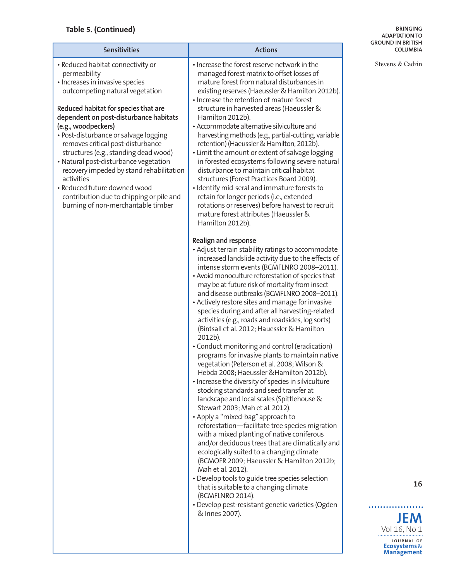## **Table 5. (Continued)**

#### **BRINGING ADAPTATION TO GROUND IN BRITISH COLUMBIA**

Stevens & Cadrin

| · Increase the forest reserve network in the<br>• Reduced habitat connectivity or<br>managed forest matrix to offset losses of<br>permeability<br>· Increases in invasive species<br>mature forest from natural disturbances in<br>existing reserves (Haeussler & Hamilton 2012b).<br>outcompeting natural vegetation<br>· Increase the retention of mature forest<br>Reduced habitat for species that are<br>structure in harvested areas (Haeussler &<br>dependent on post-disturbance habitats<br>Hamilton 2012b).<br>• Accommodate alternative silviculture and<br>(e.g., woodpeckers)<br>• Post-disturbance or salvage logging<br>harvesting methods (e.g., partial-cutting, variable<br>removes critical post-disturbance<br>retention) (Haeussler & Hamilton, 2012b).<br>structures (e.g., standing dead wood)<br>• Limit the amount or extent of salvage logging<br>• Natural post-disturbance vegetation<br>in forested ecosystems following severe natural<br>disturbance to maintain critical habitat<br>recovery impeded by stand rehabilitation<br>activities<br>structures (Forest Practices Board 2009).<br>• Reduced future downed wood<br>· Identify mid-seral and immature forests to<br>contribution due to chipping or pile and<br>retain for longer periods (i.e., extended<br>rotations or reserves) before harvest to recruit<br>burning of non-merchantable timber<br>mature forest attributes (Haeussler &<br>Hamilton 2012b).<br>Realign and response<br>· Adjust terrain stability ratings to accommodate<br>increased landslide activity due to the effects of<br>intense storm events (BCMFLNRO 2008-2011).<br>• Avoid monoculture reforestation of species that<br>may be at future risk of mortality from insect<br>and disease outbreaks (BCMFLNRO 2008-2011).<br>• Actively restore sites and manage for invasive<br>species during and after all harvesting-related<br>activities (e.g., roads and roadsides, log sorts)<br>(Birdsall et al. 2012; Hauessler & Hamilton<br>2012b).<br>• Conduct monitoring and control (eradication)<br>programs for invasive plants to maintain native<br>vegetation (Peterson et al. 2008; Wilson &<br>Hebda 2008: Haeussler & Hamilton 2012b).<br>· Increase the diversity of species in silviculture<br>stocking standards and seed transfer at<br>landscape and local scales (Spittlehouse &<br>Stewart 2003; Mah et al. 2012).<br>• Apply a "mixed-bag" approach to<br>reforestation-facilitate tree species migration<br>with a mixed planting of native coniferous<br>and/or deciduous trees that are climatically and |
|--------------------------------------------------------------------------------------------------------------------------------------------------------------------------------------------------------------------------------------------------------------------------------------------------------------------------------------------------------------------------------------------------------------------------------------------------------------------------------------------------------------------------------------------------------------------------------------------------------------------------------------------------------------------------------------------------------------------------------------------------------------------------------------------------------------------------------------------------------------------------------------------------------------------------------------------------------------------------------------------------------------------------------------------------------------------------------------------------------------------------------------------------------------------------------------------------------------------------------------------------------------------------------------------------------------------------------------------------------------------------------------------------------------------------------------------------------------------------------------------------------------------------------------------------------------------------------------------------------------------------------------------------------------------------------------------------------------------------------------------------------------------------------------------------------------------------------------------------------------------------------------------------------------------------------------------------------------------------------------------------------------------------------------------------------------------------------------------------------------------------------------------------------------------------------------------------------------------------------------------------------------------------------------------------------------------------------------------------------------------------------------------------------------------------------------------------------------------------------------------------------------------------------------------------------------------------------------------------|
|                                                                                                                                                                                                                                                                                                                                                                                                                                                                                                                                                                                                                                                                                                                                                                                                                                                                                                                                                                                                                                                                                                                                                                                                                                                                                                                                                                                                                                                                                                                                                                                                                                                                                                                                                                                                                                                                                                                                                                                                                                                                                                                                                                                                                                                                                                                                                                                                                                                                                                                                                                                                  |
| ecologically suited to a changing climate<br>(BCMOFR 2009; Haeussler & Hamilton 2012b;<br>Mah et al. 2012).<br>• Develop tools to guide tree species selection<br>that is suitable to a changing climate<br>(BCMFLNRO 2014).<br>· Develop pest-resistant genetic varieties (Ogden<br>& Innes 2007).                                                                                                                                                                                                                                                                                                                                                                                                                                                                                                                                                                                                                                                                                                                                                                                                                                                                                                                                                                                                                                                                                                                                                                                                                                                                                                                                                                                                                                                                                                                                                                                                                                                                                                                                                                                                                                                                                                                                                                                                                                                                                                                                                                                                                                                                                              |

**16**

**JEM**

Vol 16, No 1

..................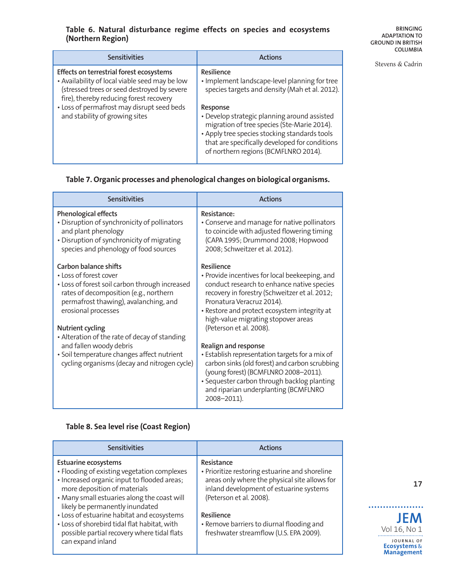### **Table 6. Natural disturbance regime effects on species and ecosystems (Northern Region)**

**BRINGING ADAPTATION TO GROUND IN BRITISH COLUMBIA**

Stevens & Cadrin

| <b>Sensitivities</b>                                                                                                                                                                 | <b>Actions</b>                                                                                                                                                                                                                                     |
|--------------------------------------------------------------------------------------------------------------------------------------------------------------------------------------|----------------------------------------------------------------------------------------------------------------------------------------------------------------------------------------------------------------------------------------------------|
| Effects on terrestrial forest ecosystems<br>. Availability of local viable seed may be low<br>(stressed trees or seed destroyed by severe<br>fire), thereby reducing forest recovery | Resilience<br>• Implement landscape-level planning for tree<br>species targets and density (Mah et al. 2012).                                                                                                                                      |
| • Loss of permafrost may disrupt seed beds<br>and stability of growing sites                                                                                                         | Response<br>· Develop strategic planning around assisted<br>migration of tree species (Ste-Marie 2014).<br>• Apply tree species stocking standards tools<br>that are specifically developed for conditions<br>of northern regions (BCMFLNRO 2014). |

### **Table 7. Organic processes and phenological changes on biological organisms.**

| <b>Sensitivities</b>                                                                                                                                                                                                                                                                                                                                                                                             | <b>Actions</b>                                                                                                                                                                                                                                                                                                                                                                                                                                                                                                                                                                        |
|------------------------------------------------------------------------------------------------------------------------------------------------------------------------------------------------------------------------------------------------------------------------------------------------------------------------------------------------------------------------------------------------------------------|---------------------------------------------------------------------------------------------------------------------------------------------------------------------------------------------------------------------------------------------------------------------------------------------------------------------------------------------------------------------------------------------------------------------------------------------------------------------------------------------------------------------------------------------------------------------------------------|
| <b>Phenological effects</b><br>• Disruption of synchronicity of pollinators<br>and plant phenology<br>• Disruption of synchronicity of migrating<br>species and phenology of food sources                                                                                                                                                                                                                        | Resistance:<br>• Conserve and manage for native pollinators<br>to coincide with adjusted flowering timing<br>(CAPA 1995; Drummond 2008; Hopwood<br>2008; Schweitzer et al. 2012).                                                                                                                                                                                                                                                                                                                                                                                                     |
| Carbon balance shifts<br>• Loss of forest cover<br>• Loss of forest soil carbon through increased<br>rates of decomposition (e.g., northern<br>permafrost thawing), avalanching, and<br>erosional processes<br><b>Nutrient cycling</b><br>• Alteration of the rate of decay of standing<br>and fallen woody debris<br>· Soil temperature changes affect nutrient<br>cycling organisms (decay and nitrogen cycle) | Resilience<br>• Provide incentives for local beekeeping, and<br>conduct research to enhance native species<br>recovery in forestry (Schweitzer et al. 2012;<br>Pronatura Veracruz 2014).<br>· Restore and protect ecosystem integrity at<br>high-value migrating stopover areas<br>(Peterson et al. 2008).<br>Realign and response<br>· Establish representation targets for a mix of<br>carbon sinks (old forest) and carbon scrubbing<br>(young forest) (BCMFLNRO 2008-2011).<br>· Sequester carbon through backlog planting<br>and riparian underplanting (BCMFLNRO<br>2008-2011). |

### **Table 8. Sea level rise (Coast Region)**

| <b>Sensitivities</b>                                                                                                                                                                                                                                                                                                                                                                                          | <b>Actions</b>                                                                                                                                                                                                                                                                           |
|---------------------------------------------------------------------------------------------------------------------------------------------------------------------------------------------------------------------------------------------------------------------------------------------------------------------------------------------------------------------------------------------------------------|------------------------------------------------------------------------------------------------------------------------------------------------------------------------------------------------------------------------------------------------------------------------------------------|
| <b>Estuarine ecosystems</b><br>• Flooding of existing vegetation complexes<br>· Increased organic input to flooded areas;<br>more deposition of materials<br>• Many small estuaries along the coast will<br>likely be permanently inundated<br>• Loss of estuarine habitat and ecosystems<br>• Loss of shorebird tidal flat habitat, with<br>possible partial recovery where tidal flats<br>can expand inland | Resistance<br>• Prioritize restoring estuarine and shoreline<br>areas only where the physical site allows for<br>inland development of estuarine systems<br>(Peterson et al. 2008).<br>Resilience<br>• Remove barriers to diurnal flooding and<br>freshwater streamflow (U.S. EPA 2009). |

**17**

**JEM**

Vol 16, No 1

. . . . . . . . . . . . . . . . . .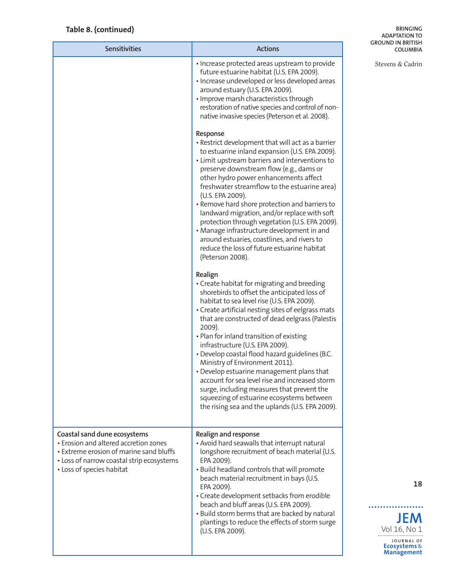## **Table 8. (continued)**

#### **BRINGING ADAPTATION TO GROUND IN BRITISH COLUMBIA**

Stevens & Cadrin

| <b>Sensitivities</b>                                                                                                                                                                       | <b>Actions</b>                                                                                                                                                                                                                                                                                                                                                                                                                                                                                                                                                                                                                                                                           |
|--------------------------------------------------------------------------------------------------------------------------------------------------------------------------------------------|------------------------------------------------------------------------------------------------------------------------------------------------------------------------------------------------------------------------------------------------------------------------------------------------------------------------------------------------------------------------------------------------------------------------------------------------------------------------------------------------------------------------------------------------------------------------------------------------------------------------------------------------------------------------------------------|
|                                                                                                                                                                                            | • Increase protected areas upstream to provide<br>future estuarine habitat (U.S. EPA 2009).<br>· Increase undeveloped or less developed areas<br>around estuary (U.S. EPA 2009).<br>· Improve marsh characteristics through<br>restoration of native species and control of non-<br>native invasive species (Peterson et al. 2008).                                                                                                                                                                                                                                                                                                                                                      |
|                                                                                                                                                                                            | Response<br>· Restrict development that will act as a barrier<br>to estuarine inland expansion (U.S. EPA 2009).<br>• Limit upstream barriers and interventions to<br>preserve downstream flow (e.g., dams or<br>other hydro power enhancements affect<br>freshwater streamflow to the estuarine area)<br>(U.S. EPA 2009).<br>• Remove hard shore protection and barriers to<br>landward migration, and/or replace with soft<br>protection through vegetation (U.S. EPA 2009).<br>• Manage infrastructure development in and<br>around estuaries, coastlines, and rivers to<br>reduce the loss of future estuarine habitat<br>(Peterson 2008).                                            |
|                                                                                                                                                                                            | Realign<br>• Create habitat for migrating and breeding<br>shorebirds to offset the anticipated loss of<br>habitat to sea level rise (U.S. EPA 2009).<br>• Create artificial nesting sites of eelgrass mats<br>that are constructed of dead eelgrass (Palestis<br>2009).<br>• Plan for inland transition of existing<br>infrastructure (U.S. EPA 2009).<br>· Develop coastal flood hazard guidelines (B.C.<br>Ministry of Environment 2011).<br>• Develop estuarine management plans that<br>account for sea level rise and increased storm<br>surge, including measures that prevent the<br>squeezing of estuarine ecosystems between<br>the rising sea and the uplands (U.S. EPA 2009). |
| Coastal sand dune ecosystems<br>• Erosion and altered accretion zones<br>• Extreme erosion of marine sand bluffs<br>• Loss of narrow coastal strip ecosystems<br>• Loss of species habitat | Realign and response<br>• Avoid hard seawalls that interrupt natural<br>longshore recruitment of beach material (U.S.<br>EPA 2009).<br>· Build headland controls that will promote<br>beach material recruitment in bays (U.S.<br>EPA 2009).<br>• Create development setbacks from erodible<br>beach and bluff areas (U.S. EPA 2009).<br>• Build storm berms that are backed by natural<br>plantings to reduce the effects of storm surge<br>(U.S. EPA 2009).                                                                                                                                                                                                                            |

**18**



..................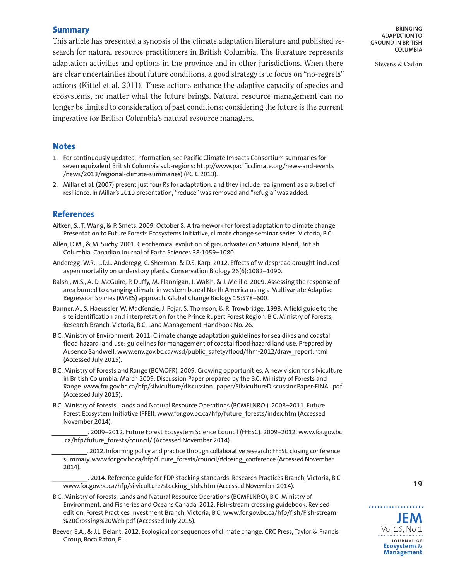#### **Summary**

This article has presented a synopsis of the climate adaptation literature and published research for natural resource practitioners in British Columbia. The literature represents adaptation activities and options in the province and in other jurisdictions. When there are clear uncertainties about future conditions, a good strategy is to focus on "no-regrets" actions (Kittel et al. 2011). These actions enhance the adaptive capacity of species and ecosystems, no matter what the future brings. Natural resource management can no longer be limited to consideration of past conditions; considering the future is the current imperative for British Columbia's natural resource managers.

#### **Notes**

- 1. For continuously updated information, see Pacific Climate Impacts Consortium summaries for seven equivalent British Columbia sub-regions: [http://www.pacificclimate.org/news-and-events](http://www.pacificclimate.org/news-and-events/news/2013/regional-climate-summaries) [/news/2013/regional-climate-summaries\)](http://www.pacificclimate.org/news-and-events/news/2013/regional-climate-summaries) (PCIC 2013).
- 2. Millar et al. (2007) present just four Rs for adaptation, and they include realignment as a subset of resilience. In Millar's 2010 presentation, "reduce" was removed and "refugia" was added.

#### **References**

- Aitken, S., T. Wang, & P. Smets. 2009, October 8. A framework for forest adaptation to climate change. Presentation to Future Forests Ecosystems Initiative, climate change seminar series. Victoria, B.C.
- Allen, D.M., & M. Suchy. 2001. Geochemical evolution of groundwater on Saturna Island, British Columbia. Canadian Journal of Earth Sciences 38:1059–1080.
- Anderegg, W.R., L.D.L. Anderegg, C. Sherman, & D.S. Karp. 2012. Effects of widespread drought-induced aspen mortality on understory plants. Conservation Biology 26(6):1082–1090.
- Balshi, M.S., A. D. McGuire, P. Duffy, M. Flannigan, J. Walsh, & J. Melillo. 2009. Assessing the response of area burned to changing climate in western boreal North America using a Multivariate Adaptive Regression Splines (MARS) approach. Global Change Biology 15:578–600.
- Banner, A., S. Haeussler, W. MacKenzie, J. Pojar, S. Thomson, & R. Trowbridge. 1993. A field guide to the site identification and interpretation for the Prince Rupert Forest Region. B.C. Ministry of Forests, Research Branch, Victoria, B.C. Land Management Handbook No. 26.
- B.C. Ministry of Environment. 2011. Climate change adaptation guidelines for sea dikes and coastal flood hazard land use: guidelines for management of coastal flood hazard land use. Prepared by Ausenco Sandwell. [www.env.gov.bc.ca/wsd/public\\_safety/flood/fhm-2012/draw\\_report.html](www.env.gov.bc.ca/wsd/public_safety/flood/fhm-2012/draw_report.html) (Accessed July 2015).
- B.C. Ministry of Forests and Range (BCMOFR). 2009. Growing opportunities. A new vision for silviculture in British Columbia. March 2009. Discussion Paper prepared by the B.C. Ministry of Forests and Range. [www.for.gov.bc.ca/hfp/silviculture/discussion\\_paper/SilvicultureDiscussionPaper-FINAL.pdf](http://www.for.gov.bc.ca/hfp/silviculture/discussion_paper/SilvicultureDiscussionPaper-FINAL.pdf) (Accessed July 2015).
- B.C. Ministry of Forests, Lands and Natural Resource Operations (BCMFLNRO ). 2008–2011. Future Forest Ecosystem Initiative (FFEI). [www.for.gov.bc.ca/hfp/future\\_forests/index.htm](http://www.for.gov.bc.ca/hfp/future_forests/index.htm) (Accessed November 2014).

2009–2012. Future Forest Ecosystem Science Council (FFESC). 2009–2012. [www.for.gov.bc](http://www.for.gov.bc.ca/hfp/future_forests/council) [.ca/hfp/future\\_forests/council/](http://www.for.gov.bc.ca/hfp/future_forests/council) (Accessed November 2014).

\_\_\_\_\_\_\_\_\_\_. 2012. Informing policy and practice through collaborative research: FFESC closing conference summary. [www.for.gov.bc.ca/hfp/future\\_forests/council/#closing\\_conference](http://www.for.gov.bc.ca/hfp/future_forests/council/#closing_conference) (Accessed November 2014).

\_\_\_\_\_\_\_\_\_\_. 2014. Reference guide for FDP stocking standards. Research Practices Branch, Victoria, B.C. [www.for.gov.bc.ca/hfp/silviculture/stocking\\_stds.htm](http://www.for.gov.bc.ca/hfp/silviculture/stocking_stds.htm) (Accessed November 2014).

- B.C. Ministry of Forests, Lands and Natural Resource Operations (BCMFLNRO), B.C. Ministry of Environment, and Fisheries and Oceans Canada. 2012. Fish-stream crossing guidebook. Revised edition. Forest Practices Investment Branch, Victoria, B.C. [www.for.gov.bc.ca/hfp/fish/Fish-stream](http://www.for.gov.bc.ca/hfp/fish/Fish-stream%20Crossing%20Web.pdf) [%20Crossing%20Web.pdf](http://www.for.gov.bc.ca/hfp/fish/Fish-stream%20Crossing%20Web.pdf) (Accessed July 2015).
- Beever, E.A., & J.L. Belant. 2012. Ecological consequences of climate change. CRC Press, Taylor & Francis Group, Boca Raton, FL.

**BRINGING ADAPTATION TO GROUND IN BRITISH COLUMBIA**

Stevens & Cadrin



. . . . . . . . . . .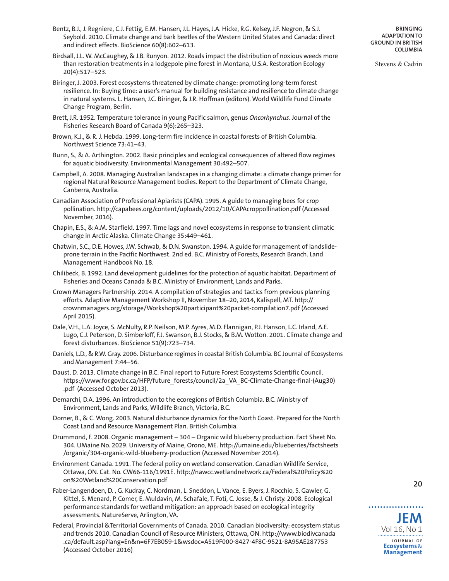- Bentz, B.J., J. Regniere, C.J. Fettig, E.M. Hansen, J.L. Hayes, J.A. Hicke, R.G. Kelsey, J.F. Negron, & S.J. Seybold. 2010. Climate change and bark beetles of the Western United States and Canada: direct and indirect effects. BioScience 60(8):602–613.
- Birdsall, J.L. W. McCaughey, & J.B. Runyon. 2012. Roads impact the distribution of noxious weeds more than restoration treatments in a lodgepole pine forest in Montana, U.S.A. Restoration Ecology 20(4):517–523.
- Biringer, J. 2003. Forest ecosystems threatened by climate change: promoting long-term forest resilience. In: Buying time: a user's manual for building resistance and resilience to climate change in natural systems. L. Hansen, J.C. Biringer, & J.R. Hoffman (editors). World Wildlife Fund Climate Change Program, Berlin.
- Brett, J.R. 1952. Temperature tolerance in young Pacific salmon, genus *Oncorhynchus*. Journal of the Fisheries Research Board of Canada 9(6):265–323.
- Brown, K.J., & R. J. Hebda. 1999. Long-term fire incidence in coastal forests of British Columbia. Northwest Science 73:41–43.
- Bunn, S., & A. Arthington. 2002. Basic principles and ecological consequences of altered flow regimes for aquatic biodiversity. Environmental Management 30:492–507.
- Campbell, A. 2008. Managing Australian landscapes in a changing climate: a climate change primer for regional Natural Resource Management bodies. Report to the Department of Climate Change, Canberra, Australia.
- Canadian Association of Professional Apiarists (CAPA). 1995. A guide to managing bees for crop pollination. <http://capabees.org/content/uploads/2012/10/CAPAcroppollination.pdf> (Accessed November, 2016).
- Chapin, E.S., & A.M. Starfield. 1997. Time lags and novel ecosystems in response to transient climatic change in Arctic Alaska. Climate Change 35:449–461.
- Chatwin, S.C., D.E. Howes, J.W. Schwab, & D.N. Swanston. 1994. A guide for management of landslideprone terrain in the Pacific Northwest. 2nd ed. B.C. Ministry of Forests, Research Branch. Land Management Handbook No. 18.
- Chilibeck, B. 1992. Land development guidelines for the protection of aquatic habitat. Department of Fisheries and Oceans Canada & B.C. Ministry of Environment, Lands and Parks.
- Crown Managers Partnership. 2014. A compilation of strategies and tactics from previous planning efforts. Adaptive Management Workshop II, November 18–20, 2014, Kalispell, MT. [http://](http://crownmanagers.org/storage/Workshop%20participant%20packet-compilation7.pdf) [crownmanagers.org/storage/Workshop%20participant%20packet-compilation7.pdf](http://crownmanagers.org/storage/Workshop%20participant%20packet-compilation7.pdf) (Accessed April 2015).
- Dale, V.H., L.A. Joyce, S. McNulty, R.P. Neilson, M.P. Ayres, M.D. Flannigan, P.J. Hanson, L.C. Irland, A.E. Lugo, C.J. Peterson, D. Simberloff, F.J. Swanson, B.J. Stocks, & B.M. Wotton. 2001. Climate change and forest disturbances. BioScience 51(9):723–734.
- Daniels, L.D., & R.W. Gray. 2006. Disturbance regimes in coastal British Columbia. BC Journal of Ecosystems and Management 7:44–56.
- Daust, D. 2013. Climate change in B.C. Final report to Future Forest Ecosystems Scientific Council. [https://www.for.gov.bc.ca/HFP/future\\_forests/council/2a\\_VA\\_BC-Climate-Change-final-\(Aug30\)](https://www.for.gov.bc.ca/HFP/future_forests/council/2a_VA_BC-Climate-Change-final-(Aug30).pdf) [.pdf](https://www.for.gov.bc.ca/HFP/future_forests/council/2a_VA_BC-Climate-Change-final-(Aug30).pdf) (Accessed October 2013).
- Demarchi, D.A. 1996. An introduction to the ecoregions of British Columbia. B.C. Ministry of Environment, Lands and Parks, Wildlife Branch, Victoria, B.C.
- Dorner, B., & C. Wong. 2003. Natural disturbance dynamics for the North Coast. Prepared for the North Coast Land and Resource Management Plan. British Columbia.
- Drummond, F. 2008. Organic management 304 Organic wild blueberry production. Fact Sheet No. 304. UMaine No. 2029. University of Maine, Orono, ME. [http://umaine.edu/blueberries/factsheets](http://umaine.edu/blueberries/factsheets/organic/304-organic-wild-blueberry-production) [/organic/304-organic-wild-blueberry-production](http://umaine.edu/blueberries/factsheets/organic/304-organic-wild-blueberry-production) (Accessed November 2014).
- Environment Canada. 1991. The federal policy on wetland conservation. Canadian Wildlife Service, Ottawa, ON. Cat. No. CW66-116/1991E. [http://nawcc.wetlandnetwork.ca/Federal%20Policy%20](http://nawcc.wetlandnetwork.ca/Federal%20Policy%20on%20Wetland%20Conservation.pdf) [on%20Wetland%20Conservation.pdf](http://nawcc.wetlandnetwork.ca/Federal%20Policy%20on%20Wetland%20Conservation.pdf)
- Faber-Langendoen, D. , G. Kudray, C. Nordman, L. Sneddon, L. Vance, E. Byers, J. Rocchio, S. Gawler, G. Kittel, S. Menard, P. Comer, E. Muldavin, M. Schafale, T. Foti, C. Josse, & J. Christy. 2008. Ecological performance standards for wetland mitigation: an approach based on ecological integrity assessments. NatureServe, Arlington, VA.
- Federal, Provincial &Territorial Governments of Canada. 2010. Canadian biodiversity: ecosystem status and trends 2010. Canadian Council of Resource Ministers, Ottawa, ON. [http://www.biodivcanada](http://www.biodivcanada.ca/default.asp?lang=En&n=6F7EB059-1&wsdoc=A519F000-8427-4F8C-9521-8A95AE287753) [.ca/default.asp?lang=En&n=6F7EB059-1&wsdoc=A519F000-8427-4F8C-9521-8A95AE287753](http://www.biodivcanada.ca/default.asp?lang=En&n=6F7EB059-1&wsdoc=A519F000-8427-4F8C-9521-8A95AE287753) (Accessed October 2016)

**BRINGING ADAPTATION TO GROUND IN BRITISH COLUMBIA**

Stevens & Cadrin

**20**



. . . . . . . . . . . . .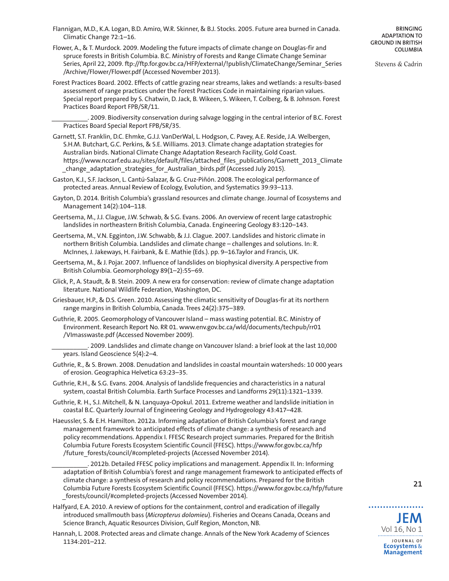- Flannigan, M.D., K.A. Logan, B.D. Amiro, W.R. Skinner, & B.J. Stocks. 2005. Future area burned in Canada. Climatic Change 72:1–16.
- Flower, A., & T. Murdock. 2009. Modeling the future impacts of climate change on Douglas-fir and spruce forests in British Columbia. B.C. Ministry of Forests and Range Climate Change Seminar Series, April 22, 2009. [ftp://ftp.for.gov.bc.ca/HFP/external/!publish/ClimateChange/Seminar\\_Series](ftp://ftp.for.gov.bc.ca/HFP/external/!publish/ClimateChange/Seminar_Series/Archive/Flower/Flower.pdf) [/Archive/Flower/Flower.pdf](ftp://ftp.for.gov.bc.ca/HFP/external/!publish/ClimateChange/Seminar_Series/Archive/Flower/Flower.pdf) (Accessed November 2013).
- Forest Practices Board. 2002. Effects of cattle grazing near streams, lakes and wetlands: a results-based assessment of range practices under the Forest Practices Code in maintaining riparian values. Special report prepared by S. Chatwin, D. Jack, B. Wikeen, S. Wikeen, T. Colberg, & B. Johnson. Forest Practices Board Report FPB/SR/11.

\_\_\_\_\_\_\_\_\_\_. 2009. Biodiversity conservation during salvage logging in the central interior of B.C. Forest Practices Board Special Report FPB/SR/35.

- Garnett, S.T. Franklin, D.C. Ehmke, G.J.J. VanDerWal, L. Hodgson, C. Pavey, A.E. Reside, J.A. Welbergen, S.H.M. Butchart, G.C. Perkins, & S.E. Williams. 2013. Climate change adaptation strategies for Australian birds. National Climate Change Adaptation Research Facility, Gold Coast. [https://www.nccarf.edu.au/sites/default/files/attached\\_files\\_publications/Garnett\\_2013\\_Climate](https://www.nccarf.edu.au/sites/default/files/attached_files_publications/Garnett_2013_Climate_change_adaptation_strategies_for_Australian_birds.pdf) [\\_change\\_adaptation\\_strategies\\_for\\_Australian\\_birds.pdf](https://www.nccarf.edu.au/sites/default/files/attached_files_publications/Garnett_2013_Climate_change_adaptation_strategies_for_Australian_birds.pdf) (Accessed July 2015).
- Gaston, K.J., S.F. Jackson, L. Cantú-Salazar, & G. Cruz-Piñón. 2008. The ecological performance of protected areas. Annual Review of Ecology, Evolution, and Systematics 39:93–113.
- Gayton, D. 2014. British Columbia's grassland resources and climate change. Journal of Ecosystems and Management 14(2):104–118.
- Geertsema, M., J.J. Clague, J.W. Schwab, & S.G. Evans. 2006. An overview of recent large catastrophic landslides in northeastern British Columbia, Canada. Engineering Geology 83:120–143.
- Geertsema, M., V.N. Egginton, J.W. Schwabb, & J.J. Clague. 2007. Landslides and historic climate in northern British Columbia. Landslides and climate change – challenges and solutions. In: R. McInnes, J. Jakeways, H. Fairbank, & E. Mathie (Eds.). pp. 9–16.Taylor and Francis, UK.
- Geertsema, M., & J. Pojar. 2007. Influence of landslides on biophysical diversity. A perspective from British Columbia. Geomorphology 89(1–2):55–69.
- Glick, P., A. Staudt, & B. Stein. 2009. A new era for conservation: review of climate change adaptation literature. National Wildlife Federation, Washington, DC.
- Griesbauer, H.P., & D.S. Green. 2010. Assessing the climatic sensitivity of Douglas-fir at its northern range margins in British Columbia, Canada. Trees 24(2):375–389.
- Guthrie, R. 2005. Geomorphology of Vancouver Island mass wasting potential. B.C. Ministry of Environment. Research Report No. RR 01. [www.env.gov.bc.ca/wld/documents/techpub/rr01](www.env.gov.bc.ca/wld/documents/techpub/rr01/VImasswaste.pdf) [/VImasswaste.pdf](www.env.gov.bc.ca/wld/documents/techpub/rr01/VImasswaste.pdf) (Accessed November 2009).
	- \_\_\_\_\_\_\_\_\_\_. 2009. Landslides and climate change on Vancouver Island: a brief look at the last 10,000 years. Island Geoscience 5(4):2–4.
- Guthrie, R., & S. Brown. 2008. Denudation and landslides in coastal mountain watersheds: 10 000 years of erosion. Geographica Helvetica 63:23–35.
- Guthrie, R.H., & S.G. Evans. 2004. Analysis of landslide frequencies and characteristics in a natural system, coastal British Columbia. Earth Surface Processes and Landforms 29(11):1321–1339.
- Guthrie, R. H., S.J. Mitchell, & N. Lanquaya-Opokul. 2011. Extreme weather and landslide initiation in coastal B.C. Quarterly Journal of Engineering Geology and Hydrogeology 43:417–428.
- Haeussler, S. & E.H. Hamilton. 2012a. Informing adaptation of British Columbia's forest and range management framework to anticipated effects of climate change: a synthesis of research and policy recommendations. Appendix I. FFESC Research project summaries. Prepared for the British Columbia Future Forests Ecosystem Scientific Council (FFESC). [https://www.for.gov.bc.ca/hfp](https://www.for.gov.bc.ca/hfp/future_forests/council/#completed-projects) [/future\\_forests/council/#completed-projects](https://www.for.gov.bc.ca/hfp/future_forests/council/#completed-projects) (Accessed November 2014).

. 2012b. Detailed FFESC policy implications and management. Appendix II. In: Informing adaptation of British Columbia's forest and range management framework to anticipated effects of climate change: a synthesis of research and policy recommendations. Prepared for the British Columbia Future Forests Ecosystem Scientific Council (FFESC). [https://www.for.gov.bc.ca/hfp/future](https://www.for.gov.bc.ca/hfp/future_forests/council/#completed-projects) [\\_forests/council/#completed-projects](https://www.for.gov.bc.ca/hfp/future_forests/council/#completed-projects) (Accessed November 2014).

- Halfyard, E.A. 2010. A review of options for the containment, control and eradication of illegally introduced smallmouth bass (*Micropterus dolomieu*). Fisheries and Oceans Canada, Oceans and Science Branch, Aquatic Resources Division, Gulf Region, Moncton, NB.
- Hannah, L. 2008. Protected areas and climate change. Annals of the New York Academy of Sciences 1134:201–212.

**BRINGING ADAPTATION TO GROUND IN BRITISH COLUMBIA**

Stevens & Cadrin

**21**

**JEM** Vol 16, No 1

. . . . . . . . . . . . .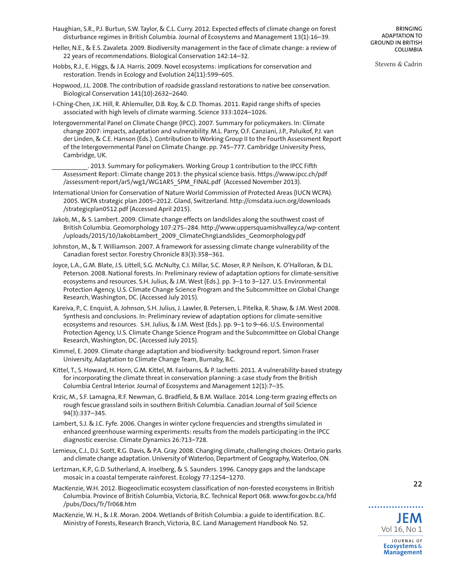- Haughian, S.R., P.J. Burtun, S.W. Taylor, & C.L. Curry. 2012. Expected effects of climate change on forest disturbance regimes in British Columbia. Journal of Ecosystems and Management 13(1):16–39.
- Heller, N.E., & E.S. Zavaleta. 2009. Biodiversity management in the face of climate change: a review of 22 years of recommendations. Biological Conservation 142:14–32.
- Hobbs, R.J., E. Higgs, & J.A. Harris. 2009. Novel ecosystems: implications for conservation and restoration. Trends in Ecology and Evolution 24(11):599–605.
- Hopwood, J.L. 2008. The contribution of roadside grassland restorations to native bee conservation. Biological Conservation 141(10):2632–2640.
- I-Ching-Chen, J.K. Hill, R. Ahlemuller, D.B. Roy, & C.D. Thomas. 2011. Rapid range shifts of species associated with high levels of climate warming. Science 333:1024–1026.
- Intergovernmental Panel on Climate Change (IPCC). 2007. Summary for policymakers. In: Climate change 2007: impacts, adaptation and vulnerability. M.L. Parry, O.F. Canziani, J.P., Paluikof, P.J. van der Linden, & C.E. Hanson (Eds.). Contribution to Working Group II to the Fourth Assessment Report of the Intergovernmental Panel on Climate Change. pp. 745–777. Cambridge University Press, Cambridge, UK.

\_\_\_\_\_\_\_\_\_\_. 2013. Summary for policymakers. Working Group 1 contribution to the IPCC Fifth Assessment Report: Climate change 2013: the physical science basis. [https://www.ipcc.ch/pdf](https://www.ipcc.ch/pdf/assessment-report/ar5/wg1/WG1AR5_SPM_FINAL.pdf) [/assessment-report/ar5/wg1/WG1AR5\\_SPM\\_FINAL.pdf](https://www.ipcc.ch/pdf/assessment-report/ar5/wg1/WG1AR5_SPM_FINAL.pdf) (Accessed November 2013).

International Union for Conservation of Nature World Commission of Protected Areas (IUCN WCPA). 2005. WCPA strategic plan 2005–2012. Gland, Switzerland. [http://cmsdata.iucn.org/downloads](http://cmsdata.iucn.org/downloads/strategicplan0512.pdf) [/strategicplan0512.pdf](http://cmsdata.iucn.org/downloads/strategicplan0512.pdf) (Accessed April 2015).

Jakob, M., & S. Lambert. 2009. Climate change effects on landslides along the southwest coast of British Columbia. Geomorphology 107:275-284. [http://www.uppersquamishvalley.ca/wp-content](http://www.uppersquamishvalley.ca/wp-content/uploads/2015/10/JakobLambert_2009_ClimateChngLandslides_Geomorphology.pdf) [/uploads/2015/10/JakobLambert\\_2009\\_ClimateChngLandslides\\_Geomorphology.pdf](http://www.uppersquamishvalley.ca/wp-content/uploads/2015/10/JakobLambert_2009_ClimateChngLandslides_Geomorphology.pdf)

Johnston, M., & T. Williamson. 2007. A framework for assessing climate change vulnerability of the Canadian forest sector. Forestry Chronicle 83(3):358–361.

- Joyce, L.A., G.M. Blate, J.S. Littell, S.G. McNulty, C.I. Millar, S.C. Moser, R.P. Neilson, K. O'Halloran, & D.L. Peterson. 2008. National forests. In: Preliminary review of adaptation options for climate-sensitive ecosystems and resources. S.H. Julius, & J.M. West (Eds.). pp. 3–1 to 3–127. U.S. Environmental Protection Agency, U.S. Climate Change Science Program and the Subcommittee on Global Change Research, Washington, DC. (Accessed July 2015).
- Kareiva, P., C. Enquist, A. Johnson, S.H. Julius, J. Lawler, B. Petersen, L. Pitelka, R. Shaw, & J.M. West 2008. Synthesis and conclusions. In: Preliminary review of adaptation options for climate-sensitive ecosystems and resources. S.H. Julius, & J.M. West (Eds.). pp. 9–1 to 9–66. U.S. Environmental Protection Agency, U.S. Climate Change Science Program and the Subcommittee on Global Change Research, Washington, DC. (Accessed July 2015).
- Kimmel, E. 2009. Climate change adaptation and biodiversity: background report. Simon Fraser University, Adaptation to Climate Change Team, Burnaby, B.C.
- Kittel, T., S. Howard, H. Horn, G.M. Kittel, M. Fairbarns, & P. Iachetti. 2011. A vulnerability-based strategy for incorporating the climate threat in conservation planning: a case study from the British Columbia Central Interior. Journal of Ecosystems and Management 12(1):7–35.
- Krzic, M., S.F. Lamagna, R.F. Newman, G. Bradfield, & B.M. Wallace. 2014. Long-term grazing effects on rough fescue grassland soils in southern British Columbia. Canadian Journal of Soil Science 94(3):337–345.

Lambert, S.J. & J.C. Fyfe. 2006. Changes in winter cyclone frequencies and strengths simulated in enhanced greenhouse warming experiments: results from the models participating in the IPCC diagnostic exercise. Climate Dynamics 26:713–728.

- Lemieux, C.J., D.J. Scott, R.G. Davis, & P.A. Gray. 2008. Changing climate, challenging choices: Ontario parks and climate change adaptation. University of Waterloo, Department of Geography, Waterloo, ON.
- Lertzman, K.P., G.D. Sutherland, A. Inselberg, & S. Saunders. 1996. Canopy gaps and the landscape mosaic in a coastal temperate rainforest. Ecology 77:1254–1270.
- MacKenzie, W.H. 2012. Biogeoclimatic ecosystem classification of non-forested ecosystems in British Columbia. Province of British Columbia, Victoria, B.C. Technical Report 068. [www.for.gov.bc.ca/hfd](www.for.gov.bc.ca/hfd/pubs/Docs/Tr/Tr068.htm) [/pubs/Docs/Tr/Tr068.htm](www.for.gov.bc.ca/hfd/pubs/Docs/Tr/Tr068.htm)

MacKenzie, W. H., & J.R. Moran. 2004. Wetlands of British Columbia: a guide to identification. B.C. Ministry of Forests, Research Branch, Victoria, B.C. Land Management Handbook No. 52. **JEM**

**BRINGING ADAPTATION TO GROUND IN BRITISH COLUMBIA**

Stevens & Cadrin



. . . . . . . . . . . .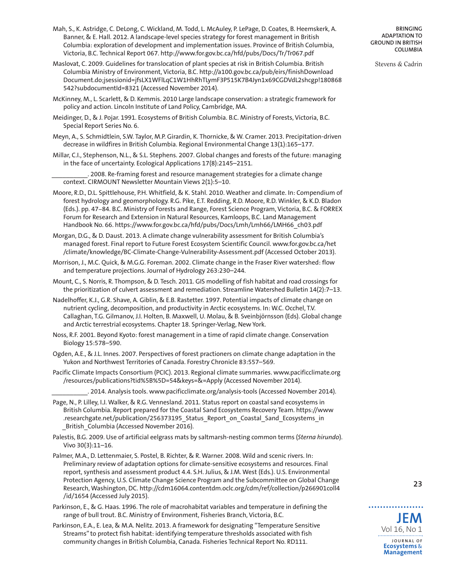- Mah, S., K. Astridge, C. DeLong, C. Wickland, M. Todd, L. McAuley, P. LePage, D. Coates, B. Heemskerk, A. Banner, & E. Hall. 2012. A landscape-level species strategy for forest management in British Columbia: exploration of development and implementation issues. Province of British Columbia, Victoria, B.C. Technical Report 067. <http://www.for.gov.bc.ca/hfd/pubs/Docs/Tr/Tr067.pdf>
- Maslovat, C. 2009. Guidelines for translocation of plant species at risk in British Columbia. British Columbia Ministry of Environment, Victoria, B.C. [http://a100.gov.bc.ca/pub/eirs/finishDownload](http://a100.gov.bc.ca/pub/eirs/finishDownloadDocument.do;jsessionid=jfsLX1WFlLqC1W1HhRhTLymF3P515K7B4Jyn1x69CGDVdL2shcgp!180868542?subdocumentId=8321) [Document.do;jsessionid=jfsLX1WFlLqC1W1HhRhTLymF3P515K7B4Jyn1x69CGDVdL2shcgp!180868](http://a100.gov.bc.ca/pub/eirs/finishDownloadDocument.do;jsessionid=jfsLX1WFlLqC1W1HhRhTLymF3P515K7B4Jyn1x69CGDVdL2shcgp!180868542?subdocumentId=8321) [542?subdocumentId=8321](http://a100.gov.bc.ca/pub/eirs/finishDownloadDocument.do;jsessionid=jfsLX1WFlLqC1W1HhRhTLymF3P515K7B4Jyn1x69CGDVdL2shcgp!180868542?subdocumentId=8321) (Accessed November 2014).
- McKinney, M., L. Scarlett, & D. Kemmis. 2010 Large landscape conservation: a strategic framework for policy and action. Lincoln Institute of Land Policy, Cambridge, MA.
- Meidinger, D., & J. Pojar. 1991. Ecosystems of British Columbia. B.C. Ministry of Forests, Victoria, B.C. Special Report Series No. 6.
- Meyn, A., S. Schmidtlein, S.W. Taylor, M.P. Girardin, K. Thornicke, & W. Cramer. 2013. Precipitation-driven decrease in wildfires in British Columbia. Regional Environmental Change 13(1):165–177.
- Millar, C.I., Stephenson, N.L., & S.L. Stephens. 2007. Global changes and forests of the future: managing in the face of uncertainty. Ecological Applications 17(8):2145–2151.

. 2008. Re-framing forest and resource management strategies for a climate change context. CIRMOUNT Newsletter Mountain Views 2(1):5–10.

Moore, R.D., D.L. Spittlehouse, P.H. Whitfield, & K. Stahl. 2010. Weather and climate. In: Compendium of forest hydrology and geomorphology. R.G. Pike, E.T. Redding, R.D. Moore, R.D. Winkler, & K.D. Bladon (Eds.). pp. 47-84. B.C. Ministry of Forests and Range, Forest Science Program, Victoria, B.C. & FORREX Forum for Research and Extension in Natural Resources, Kamloops, B.C. Land Management Handbook No. 66. [https://www.for.gov.bc.ca/hfd/pubs/Docs/Lmh/Lmh66/LMH66\\_ch03.pdf](https://www.for.gov.bc.ca/hfd/pubs/Docs/Lmh/Lmh66/LMH66_ch03.pdf)

Morgan, D.G., & D. Daust. 2013. A climate change vulnerability assessment for British Columbia's managed forest. Final report to Future Forest Ecosystem Scientific Council. [www.for.gov.bc.ca/het](www.for.gov.bc.ca/het/climate/knowledge/BC-Climate-Change-Vulnerability-Assessment.pdf) [/climate/knowledge/BC-Climate-Change-Vulnerability-Assessment.pdf](www.for.gov.bc.ca/het/climate/knowledge/BC-Climate-Change-Vulnerability-Assessment.pdf) (Accessed October 2013).

- Morrison, J., M.C. Quick, & M.G.G. Foreman. 2002. Climate change in the Fraser River watershed: flow and temperature projections. Journal of Hydrology 263:230–244.
- Mount, C., S. Norris, R. Thompson, & D. Tesch. 2011. GIS modelling of fish habitat and road crossings for the prioritization of culvert assessment and remediation. Streamline Watershed Bulletin 14(2):7–13.
- Nadelhoffer, K.J., G.R. Shave, A. Giblin, & E.B. Rastetter. 1997. Potential impacts of climate change on nutrient cycling, decomposition, and productivity in Arctic ecosystems. In: W.C. Occhel, T.V. Callaghan, T.G. Gilmanov, J.I. Holten, B. Maxwell, U. Molau, & B. Sveinbjörnsson (Eds). Global change and Arctic terrestrial ecosystems. Chapter 18. Springer-Verlag, New York.
- Noss, R.F. 2001. Beyond Kyoto: forest management in a time of rapid climate change. Conservation Biology 15:578–590.
- Ogden, A.E., & J.L. Innes. 2007. Perspectives of forest practioners on climate change adaptation in the Yukon and Northwest Territories of Canada. Forestry Chronicle 83:557–569.
- Pacific Climate Impacts Consortium (PCIC). 2013. Regional climate summaries. [www.pacificclimate.org](www.pacificclimate.org/resources/publications?tid%5B%5D=54&keys=&=Apply) [/resources/publications?tid%5B%5D=54&keys=&=Apply](www.pacificclimate.org/resources/publications?tid%5B%5D=54&keys=&=Apply) (Accessed November 2014).

\_\_\_\_\_\_\_\_\_\_. 2014. Analysis tools. <www.pacificclimate.org/analysis-tools> (Accessed November 2014).

- Page, N., P. Lilley, I.J. Walker, & R.G. Vennesland. 2011. Status report on coastal sand ecosystems in British Columbia. Report prepared for the Coastal Sand Ecosystems Recovery Team. [https://www](https://www.researchgate.net/publication/256373195_Status_Report_on_Coastal_Sand_Ecosystems_in_British_Columbia) [.researchgate.net/publication/256373195\\_Status\\_Report\\_on\\_Coastal\\_Sand\\_Ecosystems\\_in](https://www.researchgate.net/publication/256373195_Status_Report_on_Coastal_Sand_Ecosystems_in_British_Columbia) British Columbia (Accessed November 2016).
- Palestis, B.G. 2009. Use of artificial eelgrass mats by saltmarsh-nesting common terms (*Sterna hirundo*). Vivo 30(3):11–16.
- Palmer, M.A., D. Lettenmaier, S. Postel, B. Richter, & R. Warner. 2008. Wild and scenic rivers. In: Preliminary review of adaptation options for climate-sensitive ecosystems and resources. Final report, synthesis and assessment product 4.4. S.H. Julius, & J.M. West (Eds.). U.S. Environmental Protection Agency, U.S. Climate Change Science Program and the Subcommittee on Global Change Research, Washington, DC. [http://cdm16064.contentdm.oclc.org/cdm/ref/collection/p266901coll4](http://cdm16064.contentdm.oclc.org/cdm/ref/collection/p266901coll4/id/1654) [/id/1654](http://cdm16064.contentdm.oclc.org/cdm/ref/collection/p266901coll4/id/1654) (Accessed July 2015).
- Parkinson, E., & G. Haas. 1996. The role of macrohabitat variables and temperature in defining the range of bull trout. B.C. Ministry of Environment, Fisheries Branch, Victoria, B.C.
- Parkinson, E.A., E. Lea, & M.A. Nelitz. 2013. A framework for designating "Temperature Sensitive Streams" to protect fish habitat: identifying temperature thresholds associated with fish community changes in British Columbia, Canada. Fisheries Technical Report No. RD111.

**BRINGING ADAPTATION TO GROUND IN BRITISH COLUMBIA**

Stevens & Cadrin



**23**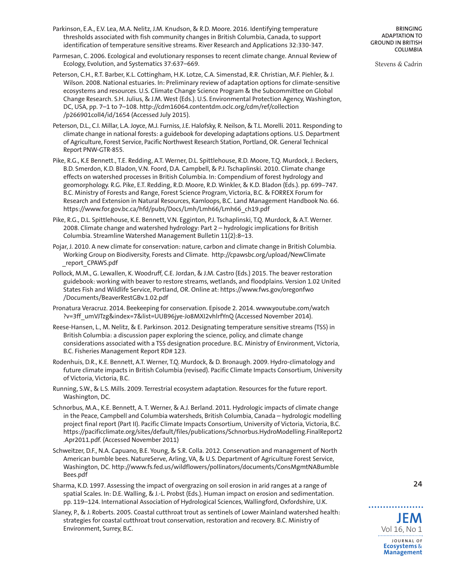- Parkinson, E.A., E.V. Lea, M.A. Nelitz, J.M. Knudson, & R.D. Moore. 2016. Identifying temperature thresholds associated with fish community changes in British Columbia, Canada, to support identification of temperature sensitive streams. River Research and Applications 32:330-347.
- Parmesan, C. 2006. Ecological and evolutionary responses to recent climate change. Annual Review of Ecology, Evolution, and Systematics 37:637–669.
- Peterson, C.H., R.T. Barber, K.L. Cottingham, H.K. Lotze, C.A. Simenstad, R.R. Christian, M.F. Piehler, & J. Wilson. 2008. National estuaries. In: Preliminary review of adaptation options for climate-sensitive ecosystems and resources. U.S. Climate Change Science Program & the Subcommittee on Global Change Research. S.H. Julius, & J.M. West (Eds.). U.S. Environmental Protection Agency, Washington, DC, USA, pp. 7–1 to 7–108. [http://cdm16064.contentdm.oclc.org/cdm/ref/collection](http://cdm16064.contentdm.oclc.org/cdm/ref/collection/p266901coll4/id/1654) [/p266901coll4/id/1654](http://cdm16064.contentdm.oclc.org/cdm/ref/collection/p266901coll4/id/1654) (Accessed July 2015).
- Peterson, D.L., C.I. Millar, L.A. Joyce, M.J. Furniss, J.E. Halofsky, R. Neilson, & T.L. Morelli. 2011. Responding to climate change in national forests: a guidebook for developing adaptations options. U.S. Department of Agriculture, Forest Service, Pacific Northwest Research Station, Portland, OR. General Technical Report PNW-GTR-855.
- Pike, R.G., K.E Bennett., T.E. Redding, A.T. Werner, D.L. Spittlehouse, R.D. Moore, T.Q. Murdock, J. Beckers, B.D. Smerdon, K.D. Bladon, V.N. Foord, D.A. Campbell, & P.J. Tschaplinski. 2010. Climate change effects on watershed processes in British Columbia. In: Compendium of forest hydrology and geomorphology. R.G. Pike, E.T. Redding, R.D. Moore, R.D. Winkler, & K.D. Bladon (Eds.). pp. 699-747. B.C. Ministry of Forests and Range, Forest Science Program, Victoria, B.C. & FORREX Forum for Research and Extension in Natural Resources, Kamloops, B.C. Land Management Handbook No. 66. [https://www.for.gov.bc.ca/hfd/pubs/Docs/Lmh/Lmh66/Lmh66\\_ch19.pdf](https://www.for.gov.bc.ca/hfd/pubs/Docs/Lmh/Lmh66/Lmh66_ch19.pdf)
- Pike, R.G., D.L. Spittlehouse, K.E. Bennett, V.N. Egginton, P.J. Tschaplinski, T.Q. Murdock, & A.T. Werner. 2008. Climate change and watershed hydrology: Part 2 – hydrologic implications for British Columbia. Streamline Watershed Management Bulletin 11(2):8–13.
- Pojar, J. 2010. A new climate for conservation: nature, carbon and climate change in British Columbia. Working Group on Biodiversity, Forests and Climate. [http://cpawsbc.org/upload/NewClimate](http://cpawsbc.org/upload/NewClimate_report_CPAWS.pdf) [\\_report\\_CPAWS.pdf](http://cpawsbc.org/upload/NewClimate_report_CPAWS.pdf)
- Pollock, M.M., G. Lewallen, K. Woodruff, C.E. Jordan, & J.M. Castro (Eds.) 2015. The beaver restoration guidebook: working with beaver to restore streams, wetlands, and floodplains. Version 1.02 United States Fish and Wildlife Service, Portland, OR. Online at: [https://www.fws.gov/oregonfwo](https://www.fws.gov/oregonfwo/Documents/BeaverRestGBv.1.02.pdf) [/Documents/BeaverRestGBv.1.02.pdf](https://www.fws.gov/oregonfwo/Documents/BeaverRestGBv.1.02.pdf)
- Pronatura Veracruz. 2014. Beekeeping for conservation. Episode 2. 2014. [www.youtube.com/watch](www.youtube.com/watch?v=3ff_umVJTzg&index=7&list=UUB96jye-Jo8MXI2vhlrfYnQ) [?v=3ff\\_umVJTzg&index=7&list=UUB96jye-Jo8MXI2vhlrfYnQ](www.youtube.com/watch?v=3ff_umVJTzg&index=7&list=UUB96jye-Jo8MXI2vhlrfYnQ) (Accessed November 2014).
- Reese-Hansen, L., M. Nelitz, & E. Parkinson. 2012. Designating temperature sensitive streams (TSS) in British Columbia: a discussion paper exploring the science, policy, and climate change considerations associated with a TSS designation procedure. B.C. Ministry of Environment, Victoria, B.C. Fisheries Management Report RD# 123.
- Rodenhuis, D.R., K.E. Bennett, A.T. Werner, T.Q. Murdock, & D. Bronaugh. 2009. Hydro-climatology and future climate impacts in British Columbia (revised). Pacific Climate Impacts Consortium, University of Victoria, Victoria, B.C.
- Running, S.W., & L.S. Mills. 2009. Terrestrial ecosystem adaptation. Resources for the future report. Washington, DC.
- Schnorbus, M.A., K.E. Bennett, A. T. Werner, & A.J. Berland. 2011. Hydrologic impacts of climate change in the Peace, Campbell and Columbia watersheds, British Columbia, Canada – hydrologic modelling project final report (Part II). Pacific Climate Impacts Consortium, University of Victoria, Victoria, B.C. [https://pacificclimate.org/sites/default/files/publications/Schnorbus.HydroModelling.FinalReport2](https://pacificclimate.org/sites/default/files/publications/Schnorbus.HydroModelling.FinalReport2.Apr2011.pdf) [.Apr2011.pdf.](https://pacificclimate.org/sites/default/files/publications/Schnorbus.HydroModelling.FinalReport2.Apr2011.pdf) (Accessed November 2011)
- Schweitzer, D.F., N.A. Capuano, B.E. Young, & S.R. Colla. 2012. Conservation and management of North American bumble bees. NatureServe, Arling, VA, & U.S. Department of Agriculture Forest Service, Washington, DC. [http://www.fs.fed.us/wildflowers/pollinators/documents/ConsMgmtNABumble](http://www.fs.fed.us/wildflowers/pollinators/documents/ConsMgmtNABumbleBees.pdf) [Bees.pdf](http://www.fs.fed.us/wildflowers/pollinators/documents/ConsMgmtNABumbleBees.pdf)
- Sharma, K.D. 1997. Assessing the impact of overgrazing on soil erosion in arid ranges at a range of spatial Scales. In: D.E. Walling, & J.-L. Probst (Eds.). Human impact on erosion and sedimentation. pp. 119–124. International Association of Hydrological Sciences, Wallingford, Oxfordshire, U.K.
- Slaney, P., & J. Roberts. 2005. Coastal cutthroat trout as sentinels of Lower Mainland watershed health: strategies for coastal cutthroat trout conservation, restoration and recovery. B.C. Ministry of Environment, Surrey, B.C.

**BRINGING ADAPTATION TO GROUND IN BRITISH COLUMBIA**

Stevens & Cadrin

. . . . . . . . . . . . **JEM** Vol 16, No 1

**24**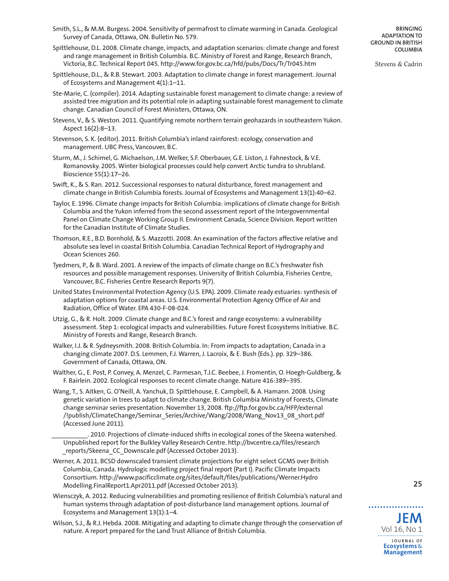- Smith, S.L., & M.M. Burgess. 2004. Sensitivity of permafrost to climate warming in Canada. Geological Survey of Canada, Ottawa, ON. Bulletin No. 579.
- Spittlehouse, D.L. 2008. Climate change, impacts, and adaptation scenarios: climate change and forest and range management in British Columbia. B.C. Ministry of Forest and Range, Research Branch, Victoria, B.C. Technical Report 045. <http://www.for.gov.bc.ca/hfd/pubs/Docs/Tr/Tr045.htm>
- Spittlehouse, D.L., & R.B. Stewart. 2003. Adaptation to climate change in forest management. Journal of Ecosystems and Management 4(1):1–11.
- Ste-Marie, C. (compiler). 2014. Adapting sustainable forest management to climate change: a review of assisted tree migration and its potential role in adapting sustainable forest management to climate change. Canadian Council of Forest Ministers, Ottawa, ON.
- Stevens, V., & S. Weston. 2011. Quantifying remote northern terrain geohazards in southeastern Yukon. Aspect 16(2):8–13.
- Stevenson, S. K. (editor). 2011. British Columbia's inland rainforest: ecology, conservation and management. UBC Press, Vancouver, B.C.
- Sturm, M., J. Schimel, G. Michaelson, J.M. Welker, S.F. Oberbauer, G.E. Liston, J. Fahnestock, & V.E. Romanovsky. 2005. Winter biological processes could help convert Arctic tundra to shrubland. Bioscience 55(1):17–26.
- Swift, K., & S. Ran. 2012. Successional responses to natural disturbance, forest management and climate change in British Columbia forests. Journal of Ecosystems and Management 13(1):40–62.
- Taylor, E. 1996. Climate change impacts for British Columbia: implications of climate change for British Columbia and the Yukon inferred from the second assessment report of the Intergovernmental Panel on Climate Change Working Group II. Environment Canada, Science Division. Report written for the Canadian Institute of Climate Studies.
- Thomson, R.E., B.D. Bornhold, & S. Mazzotti. 2008. An examination of the factors affective relative and absolute sea level in coastal British Columbia. Canadian Technical Report of Hydrography and Ocean Sciences 260.
- Tyedmers, P., & B. Ward. 2001. A review of the impacts of climate change on B.C.'s freshwater fish resources and possible management responses. University of British Columbia, Fisheries Centre, Vancouver, B.C. Fisheries Centre Research Reports 9(7).
- United States Environmental Protection Agency (U.S. EPA). 2009. Climate ready estuaries: synthesis of adaptation options for coastal areas. U.S. Environmental Protection Agency Office of Air and Radiation, Office of Water. EPA 430-F-08-024.
- Utzig, G., & R. Holt. 2009. Climate change and B.C.'s forest and range ecosystems: a vulnerability assessment. Step 1: ecological impacts and vulnerabilities. Future Forest Ecosystems Initiative. B.C. Ministry of Forests and Range, Research Branch.
- Walker, I.J. & R. Sydneysmith. 2008. British Columbia. In: From impacts to adaptation; Canada in a changing climate 2007. D.S. Lemmen, F.J. Warren, J. Lacroix, & E. Bush (Eds.). pp. 329–386. Government of Canada, Ottawa, ON.
- Walther, G., E. Post, P. Convey, A. Menzel, C. Parmesan, T.J.C. Beebee, J. Fromentin, O. Hoegh-Guldberg, & F. Bairlein. 2002. Ecological responses to recent climate change. Nature 416:389–395.
- Wang, T., S. Aitken, G. O'Neill, A. Yanchuk, D. Spittlehouse, E. Campbell, & A. Hamann. 2008. Using genetic variation in trees to adapt to climate change. British Columbia Ministry of Forests, Climate change seminar series presentation. November 13, 2008. [ftp://ftp.for.gov.bc.ca/HFP/external](ftp://ftp.for.gov.bc.ca/HFP/external/!publish/ClimateChange/Seminar_Series/Archive/Wang/2008/Wang_Nov13_08_short.pdf) [/!publish/ClimateChange/Seminar\\_Series/Archive/Wang/2008/Wang\\_Nov13\\_08\\_short.pdf](ftp://ftp.for.gov.bc.ca/HFP/external/!publish/ClimateChange/Seminar_Series/Archive/Wang/2008/Wang_Nov13_08_short.pdf) (Accessed June 2011).

. 2010. Projections of climate-induced shifts in ecological zones of the Skeena watershed. Unpublished report for the Bulkley Valley Research Centre. [http://bvcentre.ca/files/research](http://bvcentre.ca/files/research_reports/Skeena_CC_Downscale.pdf) reports/Skeena CC Downscale.pdf (Accessed October 2013).

Werner, A. 2011. BCSD downscaled transient climate projections for eight select GCMS over British Columbia, Canada. Hydrologic modelling project final report (Part I). Pacific Climate Impacts Consortium. [http://www.pacificclimate.org/sites/default/files/publications/Werner.Hydro](http://www.pacificclimate.org/sites/default/files/publications/Werner.HydroModelling.FinalReport1.Apr2011.pdf) [Modelling.FinalReport1.Apr2011.pdf](http://www.pacificclimate.org/sites/default/files/publications/Werner.HydroModelling.FinalReport1.Apr2011.pdf) (Accessed October 2013).

Wiensczyk, A. 2012. Reducing vulnerabilities and promoting resilience of British Columbia's natural and human systems through adaptation of post-disturbance land management options. Journal of Ecosystems and Management 13(1):1–4.

Wilson, S.J., & R.J. Hebda. 2008. Mitigating and adapting to climate change through the conservation of nature. A report prepared for the Land Trust Alliance of British Columbia.

**BRINGING ADAPTATION TO GROUND IN BRITISH COLUMBIA**

Stevens & Cadrin



. . . . . . . . . . . . .